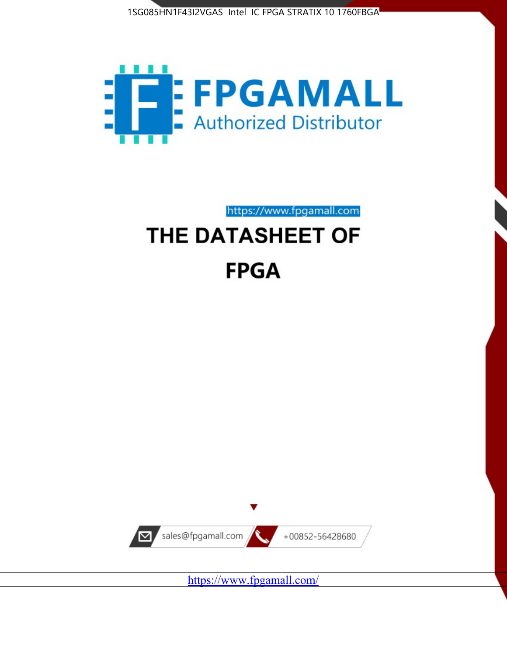



https://www.fpgamall.com

# THE DATASHEET OF **FPGA**



<https://www.fpgamall.com/>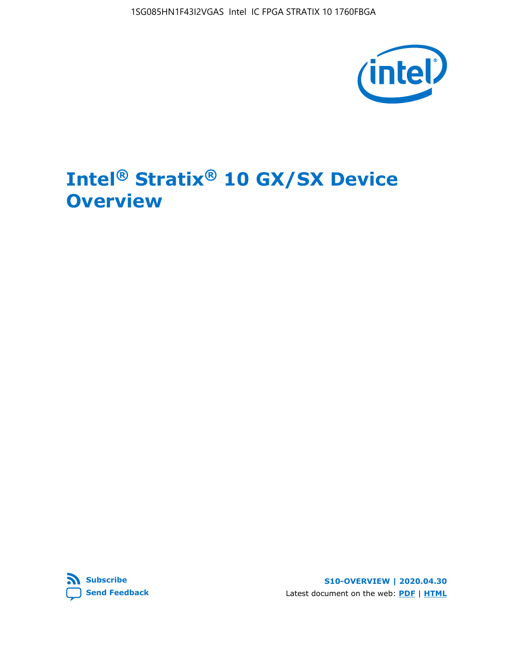1SG085HN1F43I2VGAS Intel IC FPGA STRATIX 10 1760FBGA



# **Intel® Stratix® 10 GX/SX Device Overview**



**S10-OVERVIEW | 2020.04.30** Latest document on the web: **[PDF](https://www.intel.com/content/dam/www/programmable/us/en/pdfs/literature/hb/stratix-10/s10-overview.pdf)** | **[HTML](https://www.intel.com/content/www/us/en/programmable/documentation/joc1442261161666.html)**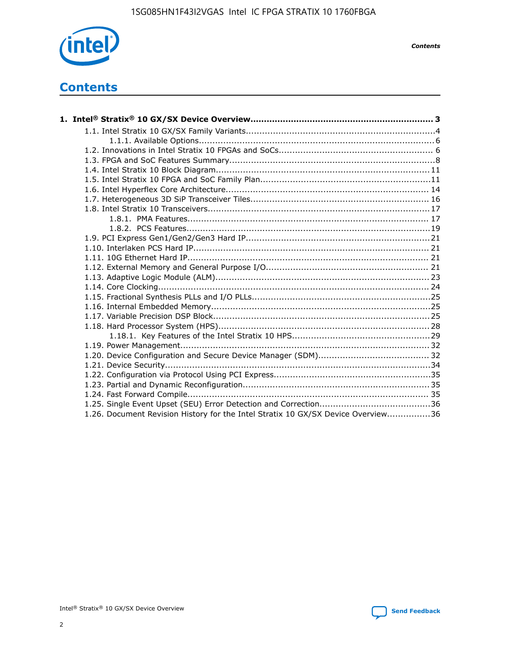

*Contents*

# **Contents**

| 1.26. Document Revision History for the Intel Stratix 10 GX/SX Device Overview36 |  |
|----------------------------------------------------------------------------------|--|

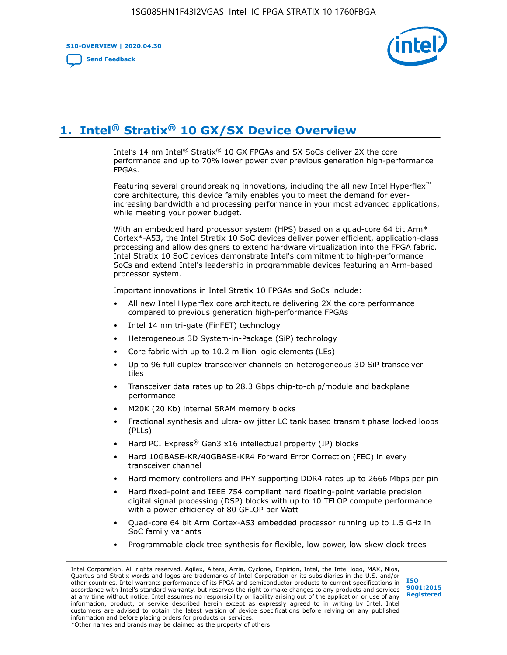**S10-OVERVIEW | 2020.04.30**

**[Send Feedback](mailto:FPGAtechdocfeedback@intel.com?subject=Feedback%20on%20Intel%20Stratix%2010%20GX/SX%20Device%20Overview%20(S10-OVERVIEW%202020.04.30)&body=We%20appreciate%20your%20feedback.%20In%20your%20comments,%20also%20specify%20the%20page%20number%20or%20paragraph.%20Thank%20you.)**



# **1. Intel® Stratix® 10 GX/SX Device Overview**

Intel's 14 nm Intel® Stratix® 10 GX FPGAs and SX SoCs deliver 2X the core performance and up to 70% lower power over previous generation high-performance FPGAs.

Featuring several groundbreaking innovations, including the all new Intel Hyperflex™ core architecture, this device family enables you to meet the demand for everincreasing bandwidth and processing performance in your most advanced applications, while meeting your power budget.

With an embedded hard processor system (HPS) based on a quad-core 64 bit Arm\* Cortex\*-A53, the Intel Stratix 10 SoC devices deliver power efficient, application-class processing and allow designers to extend hardware virtualization into the FPGA fabric. Intel Stratix 10 SoC devices demonstrate Intel's commitment to high-performance SoCs and extend Intel's leadership in programmable devices featuring an Arm-based processor system.

Important innovations in Intel Stratix 10 FPGAs and SoCs include:

- All new Intel Hyperflex core architecture delivering 2X the core performance compared to previous generation high-performance FPGAs
- Intel 14 nm tri-gate (FinFET) technology
- Heterogeneous 3D System-in-Package (SiP) technology
- Core fabric with up to 10.2 million logic elements (LEs)
- Up to 96 full duplex transceiver channels on heterogeneous 3D SiP transceiver tiles
- Transceiver data rates up to 28.3 Gbps chip-to-chip/module and backplane performance
- M20K (20 Kb) internal SRAM memory blocks
- Fractional synthesis and ultra-low jitter LC tank based transmit phase locked loops (PLLs)
- Hard PCI Express<sup>®</sup> Gen3 x16 intellectual property (IP) blocks
- Hard 10GBASE-KR/40GBASE-KR4 Forward Error Correction (FEC) in every transceiver channel
- Hard memory controllers and PHY supporting DDR4 rates up to 2666 Mbps per pin
- Hard fixed-point and IEEE 754 compliant hard floating-point variable precision digital signal processing (DSP) blocks with up to 10 TFLOP compute performance with a power efficiency of 80 GFLOP per Watt
- Quad-core 64 bit Arm Cortex-A53 embedded processor running up to 1.5 GHz in SoC family variants
- Programmable clock tree synthesis for flexible, low power, low skew clock trees

Intel Corporation. All rights reserved. Agilex, Altera, Arria, Cyclone, Enpirion, Intel, the Intel logo, MAX, Nios, Quartus and Stratix words and logos are trademarks of Intel Corporation or its subsidiaries in the U.S. and/or other countries. Intel warrants performance of its FPGA and semiconductor products to current specifications in accordance with Intel's standard warranty, but reserves the right to make changes to any products and services at any time without notice. Intel assumes no responsibility or liability arising out of the application or use of any information, product, or service described herein except as expressly agreed to in writing by Intel. Intel customers are advised to obtain the latest version of device specifications before relying on any published information and before placing orders for products or services. \*Other names and brands may be claimed as the property of others.

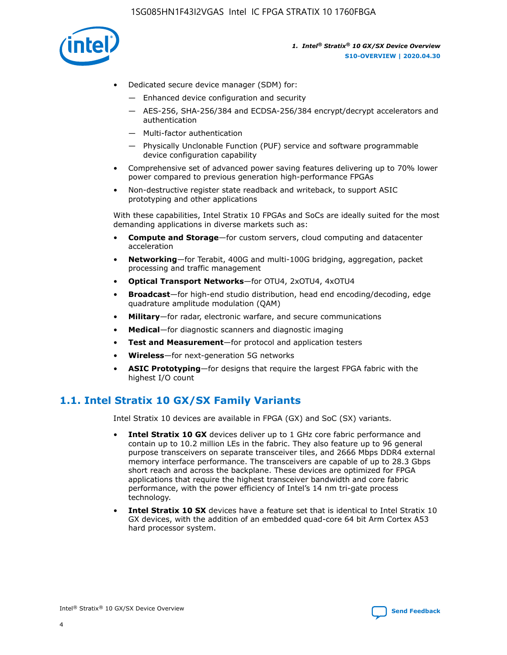

- Dedicated secure device manager (SDM) for:
	- Enhanced device configuration and security
	- AES-256, SHA-256/384 and ECDSA-256/384 encrypt/decrypt accelerators and authentication
	- Multi-factor authentication
	- Physically Unclonable Function (PUF) service and software programmable device configuration capability
- Comprehensive set of advanced power saving features delivering up to 70% lower power compared to previous generation high-performance FPGAs
- Non-destructive register state readback and writeback, to support ASIC prototyping and other applications

With these capabilities, Intel Stratix 10 FPGAs and SoCs are ideally suited for the most demanding applications in diverse markets such as:

- **Compute and Storage**—for custom servers, cloud computing and datacenter acceleration
- **Networking**—for Terabit, 400G and multi-100G bridging, aggregation, packet processing and traffic management
- **Optical Transport Networks**—for OTU4, 2xOTU4, 4xOTU4
- **Broadcast**—for high-end studio distribution, head end encoding/decoding, edge quadrature amplitude modulation (QAM)
- **Military**—for radar, electronic warfare, and secure communications
- **Medical**—for diagnostic scanners and diagnostic imaging
- **Test and Measurement**—for protocol and application testers
- **Wireless**—for next-generation 5G networks
- **ASIC Prototyping**—for designs that require the largest FPGA fabric with the highest I/O count

### **1.1. Intel Stratix 10 GX/SX Family Variants**

Intel Stratix 10 devices are available in FPGA (GX) and SoC (SX) variants.

- **Intel Stratix 10 GX** devices deliver up to 1 GHz core fabric performance and contain up to 10.2 million LEs in the fabric. They also feature up to 96 general purpose transceivers on separate transceiver tiles, and 2666 Mbps DDR4 external memory interface performance. The transceivers are capable of up to 28.3 Gbps short reach and across the backplane. These devices are optimized for FPGA applications that require the highest transceiver bandwidth and core fabric performance, with the power efficiency of Intel's 14 nm tri-gate process technology.
- **Intel Stratix 10 SX** devices have a feature set that is identical to Intel Stratix 10 GX devices, with the addition of an embedded quad-core 64 bit Arm Cortex A53 hard processor system.

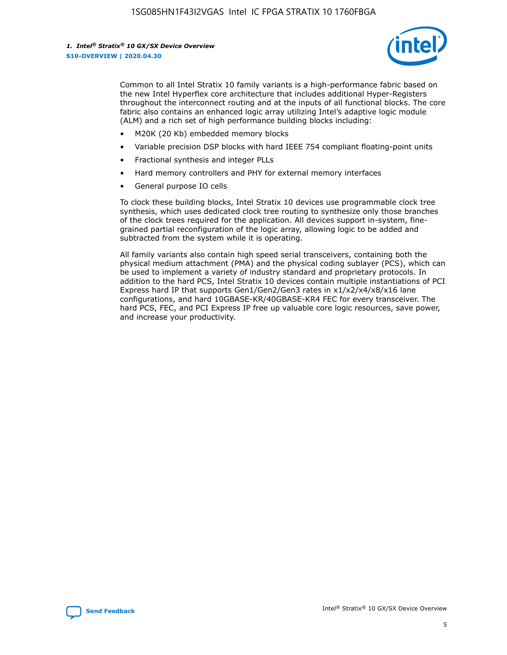

Common to all Intel Stratix 10 family variants is a high-performance fabric based on the new Intel Hyperflex core architecture that includes additional Hyper-Registers throughout the interconnect routing and at the inputs of all functional blocks. The core fabric also contains an enhanced logic array utilizing Intel's adaptive logic module (ALM) and a rich set of high performance building blocks including:

- M20K (20 Kb) embedded memory blocks
- Variable precision DSP blocks with hard IEEE 754 compliant floating-point units
- Fractional synthesis and integer PLLs
- Hard memory controllers and PHY for external memory interfaces
- General purpose IO cells

To clock these building blocks, Intel Stratix 10 devices use programmable clock tree synthesis, which uses dedicated clock tree routing to synthesize only those branches of the clock trees required for the application. All devices support in-system, finegrained partial reconfiguration of the logic array, allowing logic to be added and subtracted from the system while it is operating.

All family variants also contain high speed serial transceivers, containing both the physical medium attachment (PMA) and the physical coding sublayer (PCS), which can be used to implement a variety of industry standard and proprietary protocols. In addition to the hard PCS, Intel Stratix 10 devices contain multiple instantiations of PCI Express hard IP that supports Gen1/Gen2/Gen3 rates in x1/x2/x4/x8/x16 lane configurations, and hard 10GBASE-KR/40GBASE-KR4 FEC for every transceiver. The hard PCS, FEC, and PCI Express IP free up valuable core logic resources, save power, and increase your productivity.

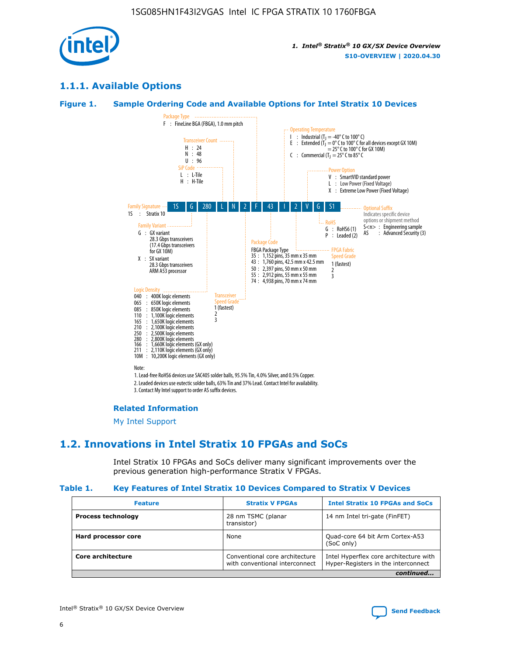

### **1.1.1. Available Options**

### **Figure 1. Sample Ordering Code and Available Options for Intel Stratix 10 Devices**



3. Contact My Intel support to order AS suffix devices.

#### **Related Information**

[My Intel Support](https://www.intel.com/content/www/us/en/programmable/my-intel/mal-home.html)

### **1.2. Innovations in Intel Stratix 10 FPGAs and SoCs**

Intel Stratix 10 FPGAs and SoCs deliver many significant improvements over the previous generation high-performance Stratix V FPGAs.

#### **Table 1. Key Features of Intel Stratix 10 Devices Compared to Stratix V Devices**

| <b>Feature</b>            | <b>Stratix V FPGAs</b>                                           | <b>Intel Stratix 10 FPGAs and SoCs</b>                                        |
|---------------------------|------------------------------------------------------------------|-------------------------------------------------------------------------------|
| <b>Process technology</b> | 28 nm TSMC (planar<br>transistor)                                | 14 nm Intel tri-gate (FinFET)                                                 |
| Hard processor core       | None                                                             | Quad-core 64 bit Arm Cortex-A53<br>(SoC only)                                 |
| Core architecture         | Conventional core architecture<br>with conventional interconnect | Intel Hyperflex core architecture with<br>Hyper-Registers in the interconnect |
|                           |                                                                  | continued                                                                     |

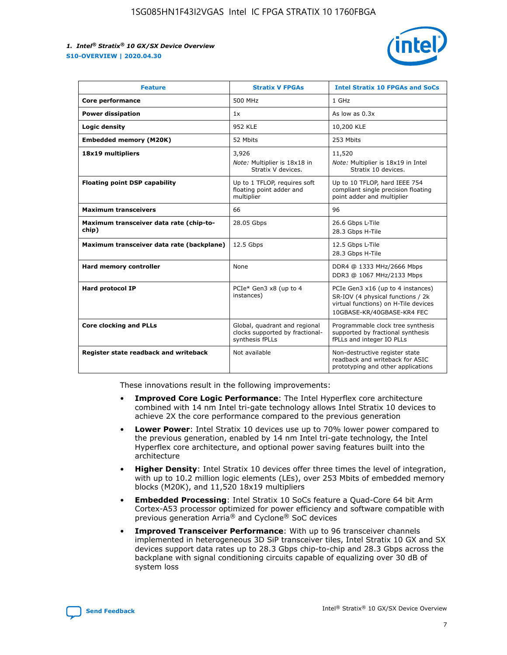

| <b>Feature</b>                                   | <b>Stratix V FPGAs</b>                                                              | <b>Intel Stratix 10 FPGAs and SoCs</b>                                                                                                       |
|--------------------------------------------------|-------------------------------------------------------------------------------------|----------------------------------------------------------------------------------------------------------------------------------------------|
| Core performance                                 | 500 MHz                                                                             | 1 GHz                                                                                                                                        |
| <b>Power dissipation</b>                         | 1x                                                                                  | As low as $0.3x$                                                                                                                             |
| Logic density                                    | <b>952 KLE</b>                                                                      | 10,200 KLE                                                                                                                                   |
| <b>Embedded memory (M20K)</b>                    | 52 Mbits                                                                            | 253 Mbits                                                                                                                                    |
| 18x19 multipliers                                | 3,926                                                                               | 11,520                                                                                                                                       |
|                                                  | Note: Multiplier is 18x18 in<br>Stratix V devices.                                  | Note: Multiplier is 18x19 in Intel<br>Stratix 10 devices.                                                                                    |
| <b>Floating point DSP capability</b>             | Up to 1 TFLOP, requires soft<br>floating point adder and<br>multiplier              | Up to 10 TFLOP, hard IEEE 754<br>compliant single precision floating<br>point adder and multiplier                                           |
| <b>Maximum transceivers</b>                      | 66                                                                                  | 96                                                                                                                                           |
| Maximum transceiver data rate (chip-to-<br>chip) | 28.05 Gbps                                                                          | 26.6 Gbps L-Tile<br>28.3 Gbps H-Tile                                                                                                         |
| Maximum transceiver data rate (backplane)        | 12.5 Gbps                                                                           | 12.5 Gbps L-Tile<br>28.3 Gbps H-Tile                                                                                                         |
| Hard memory controller                           | None                                                                                | DDR4 @ 1333 MHz/2666 Mbps<br>DDR3 @ 1067 MHz/2133 Mbps                                                                                       |
| Hard protocol IP                                 | PCIe* Gen3 x8 (up to 4<br>instances)                                                | PCIe Gen3 x16 (up to 4 instances)<br>SR-IOV (4 physical functions / 2k<br>virtual functions) on H-Tile devices<br>10GBASE-KR/40GBASE-KR4 FEC |
| <b>Core clocking and PLLs</b>                    | Global, quadrant and regional<br>clocks supported by fractional-<br>synthesis fPLLs | Programmable clock tree synthesis<br>supported by fractional synthesis<br>fPLLs and integer IO PLLs                                          |
| Register state readback and writeback            | Not available                                                                       | Non-destructive register state<br>readback and writeback for ASIC<br>prototyping and other applications                                      |

These innovations result in the following improvements:

- **Improved Core Logic Performance**: The Intel Hyperflex core architecture combined with 14 nm Intel tri-gate technology allows Intel Stratix 10 devices to achieve 2X the core performance compared to the previous generation
- **Lower Power**: Intel Stratix 10 devices use up to 70% lower power compared to the previous generation, enabled by 14 nm Intel tri-gate technology, the Intel Hyperflex core architecture, and optional power saving features built into the architecture
- **Higher Density**: Intel Stratix 10 devices offer three times the level of integration, with up to 10.2 million logic elements (LEs), over 253 Mbits of embedded memory blocks (M20K), and 11,520 18x19 multipliers
- **Embedded Processing**: Intel Stratix 10 SoCs feature a Quad-Core 64 bit Arm Cortex-A53 processor optimized for power efficiency and software compatible with previous generation Arria® and Cyclone® SoC devices
- **Improved Transceiver Performance**: With up to 96 transceiver channels implemented in heterogeneous 3D SiP transceiver tiles, Intel Stratix 10 GX and SX devices support data rates up to 28.3 Gbps chip-to-chip and 28.3 Gbps across the backplane with signal conditioning circuits capable of equalizing over 30 dB of system loss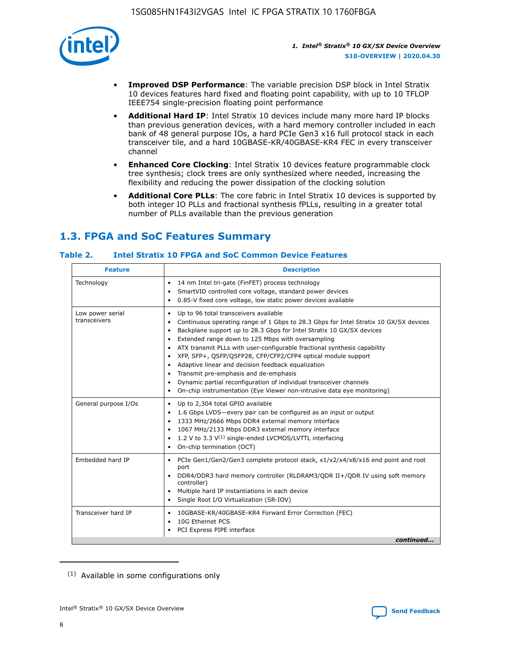

- **Improved DSP Performance**: The variable precision DSP block in Intel Stratix 10 devices features hard fixed and floating point capability, with up to 10 TFLOP IEEE754 single-precision floating point performance
- **Additional Hard IP**: Intel Stratix 10 devices include many more hard IP blocks than previous generation devices, with a hard memory controller included in each bank of 48 general purpose IOs, a hard PCIe Gen3 x16 full protocol stack in each transceiver tile, and a hard 10GBASE-KR/40GBASE-KR4 FEC in every transceiver channel
- **Enhanced Core Clocking**: Intel Stratix 10 devices feature programmable clock tree synthesis; clock trees are only synthesized where needed, increasing the flexibility and reducing the power dissipation of the clocking solution
- **Additional Core PLLs**: The core fabric in Intel Stratix 10 devices is supported by both integer IO PLLs and fractional synthesis fPLLs, resulting in a greater total number of PLLs available than the previous generation

## **1.3. FPGA and SoC Features Summary**

### **Table 2. Intel Stratix 10 FPGA and SoC Common Device Features**

| <b>Feature</b>                   | <b>Description</b>                                                                                                                                                                                                                                                                                                                                                                                                                                                                                                                                                                                                                                                                                                         |
|----------------------------------|----------------------------------------------------------------------------------------------------------------------------------------------------------------------------------------------------------------------------------------------------------------------------------------------------------------------------------------------------------------------------------------------------------------------------------------------------------------------------------------------------------------------------------------------------------------------------------------------------------------------------------------------------------------------------------------------------------------------------|
| Technology                       | 14 nm Intel tri-gate (FinFET) process technology<br>$\bullet$<br>SmartVID controlled core voltage, standard power devices<br>0.85-V fixed core voltage, low static power devices available<br>$\bullet$                                                                                                                                                                                                                                                                                                                                                                                                                                                                                                                    |
| Low power serial<br>transceivers | Up to 96 total transceivers available<br>$\bullet$<br>Continuous operating range of 1 Gbps to 28.3 Gbps for Intel Stratix 10 GX/SX devices<br>Backplane support up to 28.3 Gbps for Intel Stratix 10 GX/SX devices<br>$\bullet$<br>Extended range down to 125 Mbps with oversampling<br>ATX transmit PLLs with user-configurable fractional synthesis capability<br>$\bullet$<br>• XFP, SFP+, QSFP/QSFP28, CFP/CFP2/CFP4 optical module support<br>• Adaptive linear and decision feedback equalization<br>Transmit pre-emphasis and de-emphasis<br>Dynamic partial reconfiguration of individual transceiver channels<br>$\bullet$<br>On-chip instrumentation (Eye Viewer non-intrusive data eye monitoring)<br>$\bullet$ |
| General purpose I/Os             | Up to 2,304 total GPIO available<br>$\bullet$<br>1.6 Gbps LVDS-every pair can be configured as an input or output<br>$\bullet$<br>1333 MHz/2666 Mbps DDR4 external memory interface<br>1067 MHz/2133 Mbps DDR3 external memory interface<br>• 1.2 V to 3.3 $V^{(1)}$ single-ended LVCMOS/LVTTL interfacing<br>On-chip termination (OCT)<br>$\bullet$                                                                                                                                                                                                                                                                                                                                                                       |
| Embedded hard IP                 | PCIe Gen1/Gen2/Gen3 complete protocol stack, x1/x2/x4/x8/x16 end point and root<br>$\bullet$<br>port<br>DDR4/DDR3 hard memory controller (RLDRAM3/QDR II+/QDR IV using soft memory<br>controller)<br>• Multiple hard IP instantiations in each device<br>• Single Root I/O Virtualization (SR-IOV)                                                                                                                                                                                                                                                                                                                                                                                                                         |
| Transceiver hard IP              | 10GBASE-KR/40GBASE-KR4 Forward Error Correction (FEC)<br>$\bullet$<br>10G Ethernet PCS<br>$\bullet$<br>PCI Express PIPE interface<br>$\bullet$<br>continued                                                                                                                                                                                                                                                                                                                                                                                                                                                                                                                                                                |

<sup>(1)</sup> Available in some configurations only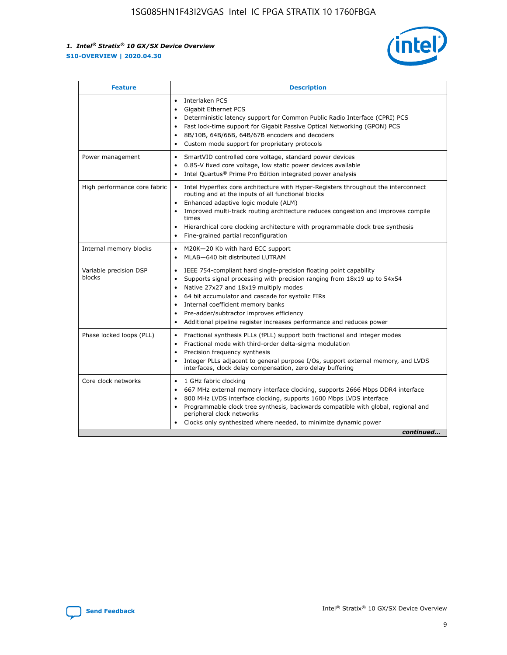

| <b>Feature</b>                   | <b>Description</b>                                                                                                                                                                                                                                                                                                                                                                                                                                                         |
|----------------------------------|----------------------------------------------------------------------------------------------------------------------------------------------------------------------------------------------------------------------------------------------------------------------------------------------------------------------------------------------------------------------------------------------------------------------------------------------------------------------------|
|                                  | Interlaken PCS<br>$\bullet$<br>Gigabit Ethernet PCS<br>$\bullet$<br>Deterministic latency support for Common Public Radio Interface (CPRI) PCS<br>$\bullet$<br>Fast lock-time support for Gigabit Passive Optical Networking (GPON) PCS<br>8B/10B, 64B/66B, 64B/67B encoders and decoders<br>$\bullet$<br>Custom mode support for proprietary protocols<br>$\bullet$                                                                                                       |
| Power management                 | SmartVID controlled core voltage, standard power devices<br>$\bullet$<br>0.85-V fixed core voltage, low static power devices available<br>$\bullet$<br>Intel Quartus <sup>®</sup> Prime Pro Edition integrated power analysis                                                                                                                                                                                                                                              |
| High performance core fabric     | Intel Hyperflex core architecture with Hyper-Registers throughout the interconnect<br>$\bullet$<br>routing and at the inputs of all functional blocks<br>Enhanced adaptive logic module (ALM)<br>$\bullet$<br>Improved multi-track routing architecture reduces congestion and improves compile<br>times<br>Hierarchical core clocking architecture with programmable clock tree synthesis<br>$\bullet$<br>Fine-grained partial reconfiguration                            |
| Internal memory blocks           | M20K-20 Kb with hard ECC support<br>٠<br>MLAB-640 bit distributed LUTRAM<br>$\bullet$                                                                                                                                                                                                                                                                                                                                                                                      |
| Variable precision DSP<br>blocks | IEEE 754-compliant hard single-precision floating point capability<br>$\bullet$<br>Supports signal processing with precision ranging from 18x19 up to 54x54<br>$\bullet$<br>Native 27x27 and 18x19 multiply modes<br>٠<br>64 bit accumulator and cascade for systolic FIRs<br>$\bullet$<br>Internal coefficient memory banks<br>Pre-adder/subtractor improves efficiency<br>$\bullet$<br>Additional pipeline register increases performance and reduces power<br>$\bullet$ |
| Phase locked loops (PLL)         | Fractional synthesis PLLs (fPLL) support both fractional and integer modes<br>$\bullet$<br>Fractional mode with third-order delta-sigma modulation<br>Precision frequency synthesis<br>$\bullet$<br>Integer PLLs adjacent to general purpose I/Os, support external memory, and LVDS<br>$\bullet$<br>interfaces, clock delay compensation, zero delay buffering                                                                                                            |
| Core clock networks              | 1 GHz fabric clocking<br>$\bullet$<br>667 MHz external memory interface clocking, supports 2666 Mbps DDR4 interface<br>$\bullet$<br>800 MHz LVDS interface clocking, supports 1600 Mbps LVDS interface<br>$\bullet$<br>Programmable clock tree synthesis, backwards compatible with global, regional and<br>$\bullet$<br>peripheral clock networks<br>Clocks only synthesized where needed, to minimize dynamic power<br>continued                                         |

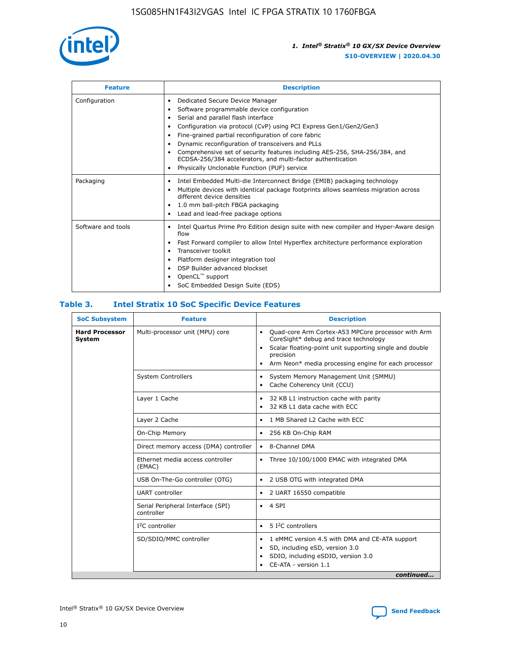

| <b>Feature</b>     | <b>Description</b>                                                                                                                                                                                                                                                                                                                                                                                                                                                                                                    |
|--------------------|-----------------------------------------------------------------------------------------------------------------------------------------------------------------------------------------------------------------------------------------------------------------------------------------------------------------------------------------------------------------------------------------------------------------------------------------------------------------------------------------------------------------------|
| Configuration      | Dedicated Secure Device Manager<br>٠<br>Software programmable device configuration<br>٠<br>Serial and parallel flash interface<br>٠<br>Configuration via protocol (CvP) using PCI Express Gen1/Gen2/Gen3<br>Fine-grained partial reconfiguration of core fabric<br>Dynamic reconfiguration of transceivers and PLLs<br>٠<br>Comprehensive set of security features including AES-256, SHA-256/384, and<br>ECDSA-256/384 accelerators, and multi-factor authentication<br>Physically Unclonable Function (PUF) service |
| Packaging          | Intel Embedded Multi-die Interconnect Bridge (EMIB) packaging technology<br>٠<br>Multiple devices with identical package footprints allows seamless migration across<br>٠<br>different device densities<br>1.0 mm ball-pitch FBGA packaging<br>٠<br>Lead and lead-free package options                                                                                                                                                                                                                                |
| Software and tools | Intel Quartus Prime Pro Edition design suite with new compiler and Hyper-Aware design<br>flow<br>Fast Forward compiler to allow Intel Hyperflex architecture performance exploration<br>٠<br>Transceiver toolkit<br>Platform designer integration tool<br>DSP Builder advanced blockset<br>OpenCL <sup>™</sup> support<br>SoC Embedded Design Suite (EDS)                                                                                                                                                             |

### **Table 3. Intel Stratix 10 SoC Specific Device Features**

| <b>SoC Subsystem</b>                   | <b>Feature</b>                                  | <b>Description</b>                                                                                                                                                                                                                                                 |
|----------------------------------------|-------------------------------------------------|--------------------------------------------------------------------------------------------------------------------------------------------------------------------------------------------------------------------------------------------------------------------|
| <b>Hard Processor</b><br><b>System</b> | Multi-processor unit (MPU) core                 | Quad-core Arm Cortex-A53 MPCore processor with Arm<br>$\bullet$<br>CoreSight* debug and trace technology<br>Scalar floating-point unit supporting single and double<br>$\bullet$<br>precision<br>Arm Neon* media processing engine for each processor<br>$\bullet$ |
|                                        | <b>System Controllers</b>                       | System Memory Management Unit (SMMU)<br>٠<br>Cache Coherency Unit (CCU)<br>$\bullet$                                                                                                                                                                               |
|                                        | Layer 1 Cache                                   | 32 KB L1 instruction cache with parity<br>$\bullet$<br>32 KB L1 data cache with ECC<br>$\bullet$                                                                                                                                                                   |
|                                        | Layer 2 Cache                                   | 1 MB Shared L2 Cache with ECC<br>$\bullet$                                                                                                                                                                                                                         |
|                                        | On-Chip Memory                                  | 256 KB On-Chip RAM<br>$\bullet$                                                                                                                                                                                                                                    |
|                                        | Direct memory access (DMA) controller           | 8-Channel DMA<br>$\bullet$                                                                                                                                                                                                                                         |
|                                        | Ethernet media access controller<br>(EMAC)      | Three 10/100/1000 EMAC with integrated DMA<br>$\bullet$                                                                                                                                                                                                            |
|                                        | USB On-The-Go controller (OTG)                  | 2 USB OTG with integrated DMA<br>$\bullet$                                                                                                                                                                                                                         |
|                                        | <b>UART</b> controller                          | 2 UART 16550 compatible<br>$\bullet$                                                                                                                                                                                                                               |
|                                        | Serial Peripheral Interface (SPI)<br>controller | 4 SPI<br>$\bullet$                                                                                                                                                                                                                                                 |
|                                        | $I2C$ controller                                | 5 <sup>2</sup> C controllers<br>$\bullet$                                                                                                                                                                                                                          |
|                                        | SD/SDIO/MMC controller                          | 1 eMMC version 4.5 with DMA and CE-ATA support<br>$\bullet$<br>SD, including eSD, version 3.0<br>$\bullet$<br>SDIO, including eSDIO, version 3.0<br>$\bullet$<br>CE-ATA - version 1.1<br>continued                                                                 |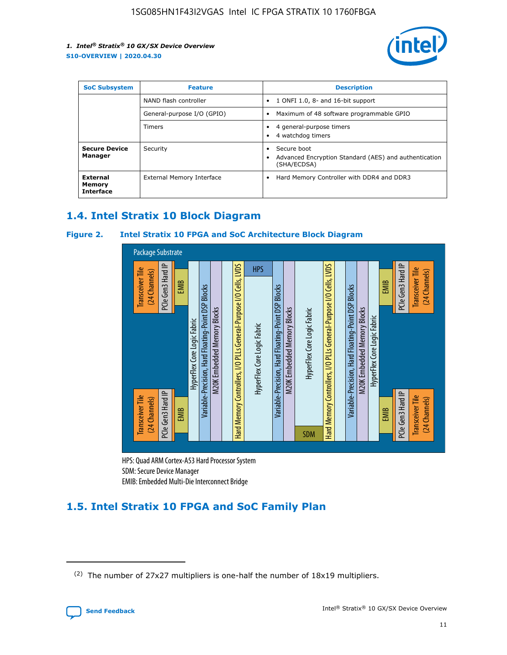

| <b>SoC Subsystem</b>                          | <b>Feature</b>             | <b>Description</b>                                                                                    |  |  |
|-----------------------------------------------|----------------------------|-------------------------------------------------------------------------------------------------------|--|--|
|                                               | NAND flash controller      | 1 ONFI 1.0, 8- and 16-bit support<br>$\bullet$                                                        |  |  |
|                                               | General-purpose I/O (GPIO) | Maximum of 48 software programmable GPIO<br>$\bullet$                                                 |  |  |
|                                               | <b>Timers</b>              | 4 general-purpose timers<br>٠<br>4 watchdog timers<br>٠                                               |  |  |
| <b>Secure Device</b><br>Manager               | Security                   | Secure boot<br>$\bullet$<br>Advanced Encryption Standard (AES) and authentication<br>٠<br>(SHA/ECDSA) |  |  |
| <b>External</b><br>Memory<br><b>Interface</b> | External Memory Interface  | Hard Memory Controller with DDR4 and DDR3<br>$\bullet$                                                |  |  |

### **1.4. Intel Stratix 10 Block Diagram**

### **Figure 2. Intel Stratix 10 FPGA and SoC Architecture Block Diagram**



HPS: Quad ARM Cortex-A53 Hard Processor System SDM: Secure Device Manager

## **1.5. Intel Stratix 10 FPGA and SoC Family Plan**

<sup>(2)</sup> The number of 27x27 multipliers is one-half the number of 18x19 multipliers.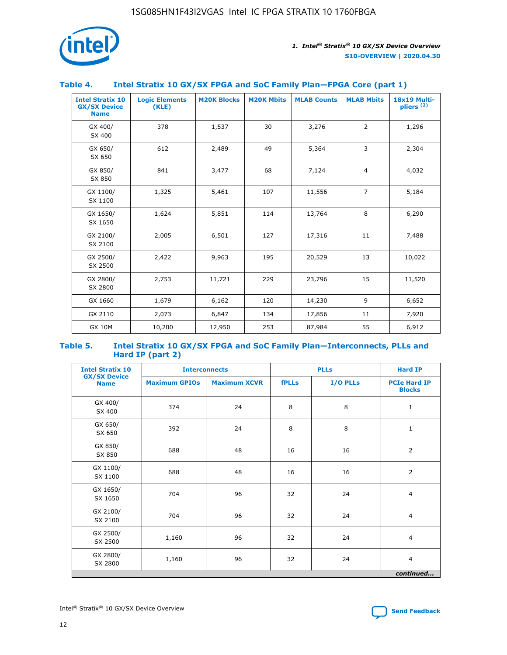

### **Table 4. Intel Stratix 10 GX/SX FPGA and SoC Family Plan—FPGA Core (part 1)**

| <b>Intel Stratix 10</b><br><b>GX/SX Device</b><br><b>Name</b> | <b>Logic Elements</b><br>(KLE) | <b>M20K Blocks</b> | <b>M20K Mbits</b> | <b>MLAB Counts</b> | <b>MLAB Mbits</b> | 18x19 Multi-<br>pliers <sup>(2)</sup> |
|---------------------------------------------------------------|--------------------------------|--------------------|-------------------|--------------------|-------------------|---------------------------------------|
| GX 400/<br>SX 400                                             | 378                            | 1,537              | 30                | 3,276              | $\overline{2}$    | 1,296                                 |
| GX 650/<br>SX 650                                             | 612                            | 2,489              | 49                | 5,364              | 3                 | 2,304                                 |
| GX 850/<br>SX 850                                             | 841                            | 3,477              | 68                | 7,124              | $\overline{4}$    | 4,032                                 |
| GX 1100/<br>SX 1100                                           | 1,325                          | 5,461              | 107               | 11,556             | $\overline{7}$    | 5,184                                 |
| GX 1650/<br>SX 1650                                           | 1,624                          | 5,851              | 114               | 13,764             | 8                 | 6,290                                 |
| GX 2100/<br>SX 2100                                           | 2,005                          | 6,501              | 127               | 17,316             | 11                | 7,488                                 |
| GX 2500/<br>SX 2500                                           | 2,422                          | 9,963              | 195               | 20,529             | 13                | 10,022                                |
| GX 2800/<br>SX 2800                                           | 2,753                          | 11,721             | 229               | 23,796             | 15                | 11,520                                |
| GX 1660                                                       | 1,679                          | 6,162              | 120               | 14,230             | 9                 | 6,652                                 |
| GX 2110                                                       | 2,073                          | 6,847              | 134               | 17,856             | 11                | 7,920                                 |
| <b>GX 10M</b>                                                 | 10,200                         | 12,950             | 253               | 87,984             | 55                | 6,912                                 |

#### **Table 5. Intel Stratix 10 GX/SX FPGA and SoC Family Plan—Interconnects, PLLs and Hard IP (part 2)**

| <b>Intel Stratix 10</b>            |                      | <b>PLLs</b><br><b>Interconnects</b> |              |          | <b>Hard IP</b>                       |  |
|------------------------------------|----------------------|-------------------------------------|--------------|----------|--------------------------------------|--|
| <b>GX/SX Device</b><br><b>Name</b> | <b>Maximum GPIOs</b> | <b>Maximum XCVR</b>                 | <b>fPLLs</b> | I/O PLLs | <b>PCIe Hard IP</b><br><b>Blocks</b> |  |
| GX 400/<br>SX 400                  | 374                  | 24                                  | 8            | 8        | $\mathbf{1}$                         |  |
| GX 650/<br>SX 650                  | 392                  | 24                                  | 8            | 8        | $\mathbf{1}$                         |  |
| GX 850/<br>SX 850                  | 688                  | 48                                  | 16           | 16       | 2                                    |  |
| GX 1100/<br>SX 1100                | 688                  | 48                                  | 16           | 16       | 2                                    |  |
| GX 1650/<br>SX 1650                | 704                  | 96                                  | 32           | 24       | $\overline{4}$                       |  |
| GX 2100/<br>SX 2100                | 704                  | 96                                  | 32           | 24       | 4                                    |  |
| GX 2500/<br>SX 2500                | 1,160                | 96                                  | 32           | 24       | $\overline{4}$                       |  |
| GX 2800/<br>SX 2800                | 1,160                | 96                                  | 32           | 24       | $\overline{4}$                       |  |
| continued                          |                      |                                     |              |          |                                      |  |

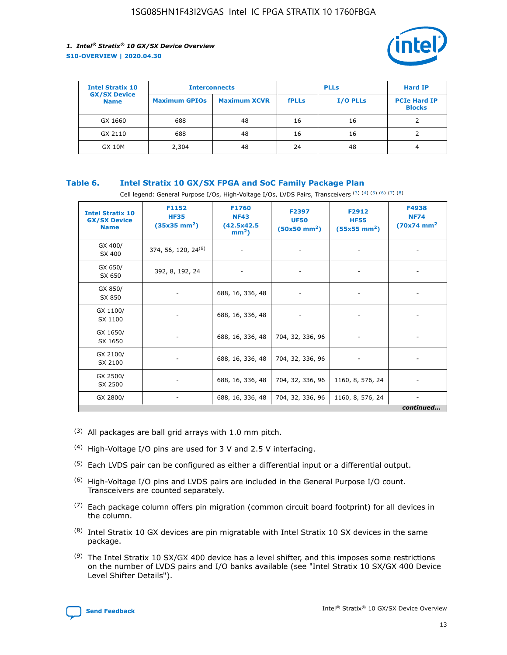

| <b>Intel Stratix 10</b>            | <b>Interconnects</b> |                     | <b>PLLs</b>  |                 | <b>Hard IP</b>                       |
|------------------------------------|----------------------|---------------------|--------------|-----------------|--------------------------------------|
| <b>GX/SX Device</b><br><b>Name</b> | <b>Maximum GPIOs</b> | <b>Maximum XCVR</b> | <b>fPLLs</b> | <b>I/O PLLs</b> | <b>PCIe Hard IP</b><br><b>Blocks</b> |
| GX 1660                            | 688                  | 48                  | 16           | 16              |                                      |
| GX 2110                            | 688                  | 48                  | 16           | 16              |                                      |
| <b>GX 10M</b>                      | 2,304                | 48                  | 24           | 48              | 4                                    |

### **Table 6. Intel Stratix 10 GX/SX FPGA and SoC Family Package Plan**

Cell legend: General Purpose I/Os, High-Voltage I/Os, LVDS Pairs, Transceivers (3) (4) (5) (6) (7) (8)

| <b>Intel Stratix 10</b><br><b>GX/SX Device</b><br><b>Name</b> | F1152<br><b>HF35</b><br>$(35x35 \text{ mm}^2)$ | <b>F1760</b><br><b>NF43</b><br>(42.5x42.5<br>$mm2$ ) | F2397<br><b>UF50</b><br>$(50x50$ mm <sup>2</sup> ) | F2912<br><b>HF55</b><br>$(55x55 \text{ mm}^2)$ | F4938<br><b>NF74</b><br>$(70x74)$ mm <sup>2</sup> |
|---------------------------------------------------------------|------------------------------------------------|------------------------------------------------------|----------------------------------------------------|------------------------------------------------|---------------------------------------------------|
| GX 400/<br>SX 400                                             | 374, 56, 120, 24 <sup>(9)</sup>                | $\overline{\phantom{a}}$                             | $\overline{\phantom{a}}$                           |                                                |                                                   |
| GX 650/<br>SX 650                                             | 392, 8, 192, 24                                | ٠                                                    | $\overline{\phantom{a}}$                           |                                                |                                                   |
| GX 850/<br>SX 850                                             |                                                | 688, 16, 336, 48                                     |                                                    |                                                |                                                   |
| GX 1100/<br>SX 1100                                           |                                                | 688, 16, 336, 48                                     |                                                    |                                                |                                                   |
| GX 1650/<br>SX 1650                                           |                                                | 688, 16, 336, 48                                     | 704, 32, 336, 96                                   |                                                |                                                   |
| GX 2100/<br>SX 2100                                           |                                                | 688, 16, 336, 48                                     | 704, 32, 336, 96                                   | -                                              | ۰                                                 |
| GX 2500/<br>SX 2500                                           |                                                | 688, 16, 336, 48                                     | 704, 32, 336, 96                                   | 1160, 8, 576, 24                               |                                                   |
| GX 2800/                                                      | $\overline{\phantom{a}}$                       | 688, 16, 336, 48                                     | 704, 32, 336, 96                                   | 1160, 8, 576, 24                               | ٠<br>continued                                    |

- (3) All packages are ball grid arrays with 1.0 mm pitch.
- (4) High-Voltage I/O pins are used for 3 V and 2.5 V interfacing.
- $(5)$  Each LVDS pair can be configured as either a differential input or a differential output.
- (6) High-Voltage I/O pins and LVDS pairs are included in the General Purpose I/O count. Transceivers are counted separately.
- $(7)$  Each package column offers pin migration (common circuit board footprint) for all devices in the column.
- $(8)$  Intel Stratix 10 GX devices are pin migratable with Intel Stratix 10 SX devices in the same package.
- $(9)$  The Intel Stratix 10 SX/GX 400 device has a level shifter, and this imposes some restrictions on the number of LVDS pairs and I/O banks available (see "Intel Stratix 10 SX/GX 400 Device Level Shifter Details").

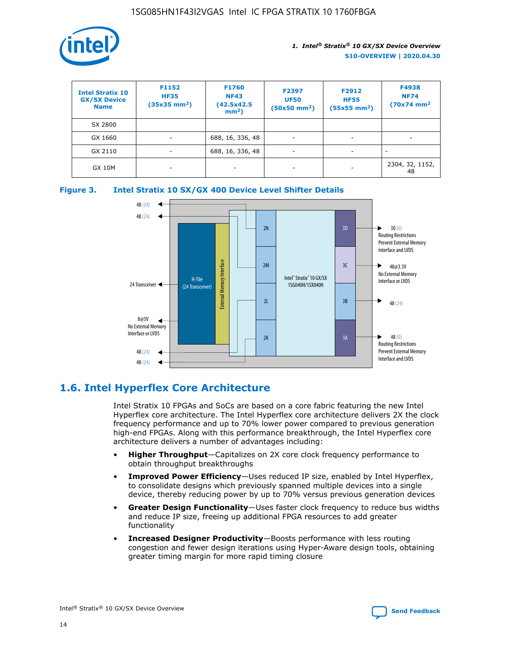

| <b>Intel Stratix 10</b><br><b>GX/SX Device</b><br><b>Name</b> | F1152<br><b>HF35</b><br>$(35x35)$ mm <sup>2</sup> ) | <b>F1760</b><br><b>NF43</b><br>(42.5x42.5<br>$mm2$ ) | F2397<br><b>UF50</b><br>$(50x50 \text{ mm}^2)$ | F2912<br><b>HF55</b><br>$(55x55$ mm <sup>2</sup> ) | F4938<br><b>NF74</b><br>$(70x74)$ mm <sup>2</sup> |
|---------------------------------------------------------------|-----------------------------------------------------|------------------------------------------------------|------------------------------------------------|----------------------------------------------------|---------------------------------------------------|
| SX 2800                                                       |                                                     |                                                      |                                                |                                                    |                                                   |
| GX 1660                                                       | ٠                                                   | 688, 16, 336, 48                                     | ٠                                              |                                                    |                                                   |
| GX 2110                                                       | -                                                   | 688, 16, 336, 48                                     | $\overline{\phantom{a}}$                       |                                                    |                                                   |
| <b>GX 10M</b>                                                 | ۰                                                   |                                                      |                                                |                                                    | 2304, 32, 1152,<br>48                             |





### **1.6. Intel Hyperflex Core Architecture**

Intel Stratix 10 FPGAs and SoCs are based on a core fabric featuring the new Intel Hyperflex core architecture. The Intel Hyperflex core architecture delivers 2X the clock frequency performance and up to 70% lower power compared to previous generation high-end FPGAs. Along with this performance breakthrough, the Intel Hyperflex core architecture delivers a number of advantages including:

- **Higher Throughput**—Capitalizes on 2X core clock frequency performance to obtain throughput breakthroughs
- **Improved Power Efficiency**—Uses reduced IP size, enabled by Intel Hyperflex, to consolidate designs which previously spanned multiple devices into a single device, thereby reducing power by up to 70% versus previous generation devices
- **Greater Design Functionality**—Uses faster clock frequency to reduce bus widths and reduce IP size, freeing up additional FPGA resources to add greater functionality
- **Increased Designer Productivity**—Boosts performance with less routing congestion and fewer design iterations using Hyper-Aware design tools, obtaining greater timing margin for more rapid timing closure

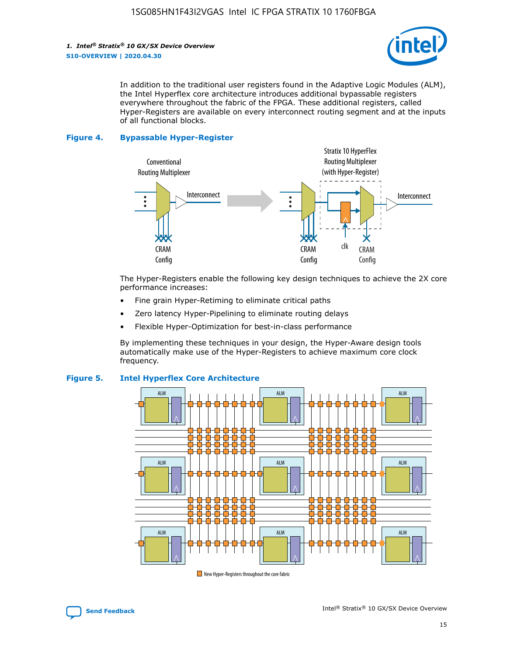*1. Intel® Stratix® 10 GX/SX Device Overview* **S10-OVERVIEW | 2020.04.30**



In addition to the traditional user registers found in the Adaptive Logic Modules (ALM), the Intel Hyperflex core architecture introduces additional bypassable registers everywhere throughout the fabric of the FPGA. These additional registers, called Hyper-Registers are available on every interconnect routing segment and at the inputs of all functional blocks.

#### **Figure 4. Bypassable Hyper-Register**



The Hyper-Registers enable the following key design techniques to achieve the 2X core performance increases:

- Fine grain Hyper-Retiming to eliminate critical paths
- Zero latency Hyper-Pipelining to eliminate routing delays
- Flexible Hyper-Optimization for best-in-class performance

By implementing these techniques in your design, the Hyper-Aware design tools automatically make use of the Hyper-Registers to achieve maximum core clock frequency.



### **Figure 5. Intel Hyperflex Core Architecture**

New Hyper-Registers throughout the core fabric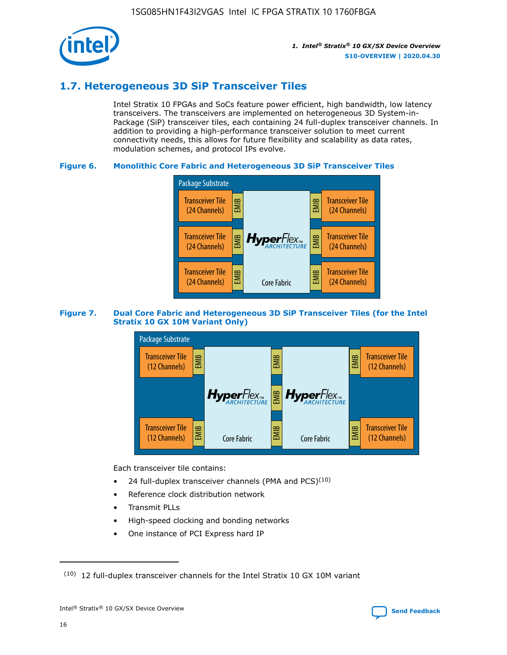

### **1.7. Heterogeneous 3D SiP Transceiver Tiles**

Intel Stratix 10 FPGAs and SoCs feature power efficient, high bandwidth, low latency transceivers. The transceivers are implemented on heterogeneous 3D System-in-Package (SiP) transceiver tiles, each containing 24 full-duplex transceiver channels. In addition to providing a high-performance transceiver solution to meet current connectivity needs, this allows for future flexibility and scalability as data rates, modulation schemes, and protocol IPs evolve.

### **Figure 6. Monolithic Core Fabric and Heterogeneous 3D SiP Transceiver Tiles**



### **Figure 7. Dual Core Fabric and Heterogeneous 3D SiP Transceiver Tiles (for the Intel Stratix 10 GX 10M Variant Only)**



Each transceiver tile contains:

- 24 full-duplex transceiver channels (PMA and PCS) $(10)$
- Reference clock distribution network
- Transmit PLLs
- High-speed clocking and bonding networks
- One instance of PCI Express hard IP



 $(10)$  12 full-duplex transceiver channels for the Intel Stratix 10 GX 10M variant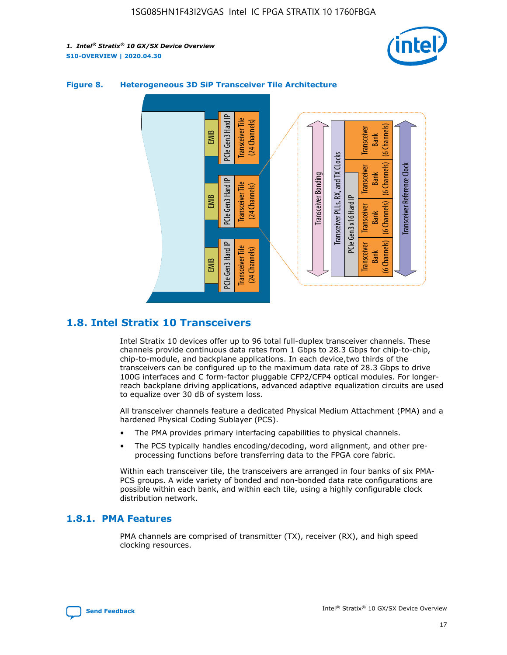



### **Figure 8. Heterogeneous 3D SiP Transceiver Tile Architecture**

### **1.8. Intel Stratix 10 Transceivers**

Intel Stratix 10 devices offer up to 96 total full-duplex transceiver channels. These channels provide continuous data rates from 1 Gbps to 28.3 Gbps for chip-to-chip, chip-to-module, and backplane applications. In each device,two thirds of the transceivers can be configured up to the maximum data rate of 28.3 Gbps to drive 100G interfaces and C form-factor pluggable CFP2/CFP4 optical modules. For longerreach backplane driving applications, advanced adaptive equalization circuits are used to equalize over 30 dB of system loss.

All transceiver channels feature a dedicated Physical Medium Attachment (PMA) and a hardened Physical Coding Sublayer (PCS).

- The PMA provides primary interfacing capabilities to physical channels.
- The PCS typically handles encoding/decoding, word alignment, and other preprocessing functions before transferring data to the FPGA core fabric.

Within each transceiver tile, the transceivers are arranged in four banks of six PMA-PCS groups. A wide variety of bonded and non-bonded data rate configurations are possible within each bank, and within each tile, using a highly configurable clock distribution network.

### **1.8.1. PMA Features**

PMA channels are comprised of transmitter (TX), receiver (RX), and high speed clocking resources.

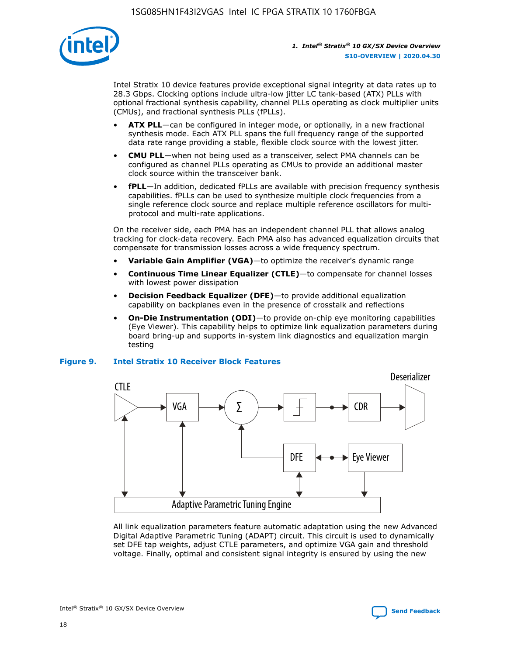

Intel Stratix 10 device features provide exceptional signal integrity at data rates up to 28.3 Gbps. Clocking options include ultra-low jitter LC tank-based (ATX) PLLs with optional fractional synthesis capability, channel PLLs operating as clock multiplier units (CMUs), and fractional synthesis PLLs (fPLLs).

- **ATX PLL**—can be configured in integer mode, or optionally, in a new fractional synthesis mode. Each ATX PLL spans the full frequency range of the supported data rate range providing a stable, flexible clock source with the lowest jitter.
- **CMU PLL**—when not being used as a transceiver, select PMA channels can be configured as channel PLLs operating as CMUs to provide an additional master clock source within the transceiver bank.
- **fPLL**—In addition, dedicated fPLLs are available with precision frequency synthesis capabilities. fPLLs can be used to synthesize multiple clock frequencies from a single reference clock source and replace multiple reference oscillators for multiprotocol and multi-rate applications.

On the receiver side, each PMA has an independent channel PLL that allows analog tracking for clock-data recovery. Each PMA also has advanced equalization circuits that compensate for transmission losses across a wide frequency spectrum.

- **Variable Gain Amplifier (VGA)**—to optimize the receiver's dynamic range
- **Continuous Time Linear Equalizer (CTLE)**—to compensate for channel losses with lowest power dissipation
- **Decision Feedback Equalizer (DFE)**—to provide additional equalization capability on backplanes even in the presence of crosstalk and reflections
- **On-Die Instrumentation (ODI)**—to provide on-chip eye monitoring capabilities (Eye Viewer). This capability helps to optimize link equalization parameters during board bring-up and supports in-system link diagnostics and equalization margin testing

#### **Figure 9. Intel Stratix 10 Receiver Block Features**



All link equalization parameters feature automatic adaptation using the new Advanced Digital Adaptive Parametric Tuning (ADAPT) circuit. This circuit is used to dynamically set DFE tap weights, adjust CTLE parameters, and optimize VGA gain and threshold voltage. Finally, optimal and consistent signal integrity is ensured by using the new



Intel<sup>®</sup> Stratix<sup>®</sup> 10 GX/SX Device Overview **[Send Feedback](mailto:FPGAtechdocfeedback@intel.com?subject=Feedback%20on%20Intel%20Stratix%2010%20GX/SX%20Device%20Overview%20(S10-OVERVIEW%202020.04.30)&body=We%20appreciate%20your%20feedback.%20In%20your%20comments,%20also%20specify%20the%20page%20number%20or%20paragraph.%20Thank%20you.)** Send Feedback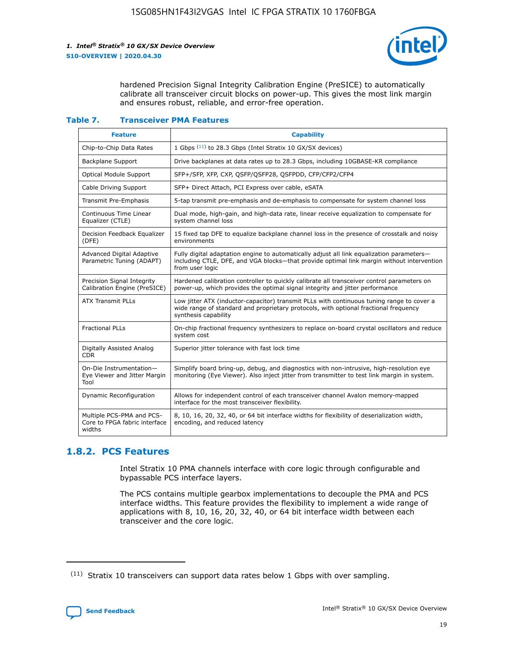

hardened Precision Signal Integrity Calibration Engine (PreSICE) to automatically calibrate all transceiver circuit blocks on power-up. This gives the most link margin and ensures robust, reliable, and error-free operation.

#### **Table 7. Transceiver PMA Features**

| <b>Feature</b>                                                       | <b>Capability</b>                                                                                                                                                                                         |
|----------------------------------------------------------------------|-----------------------------------------------------------------------------------------------------------------------------------------------------------------------------------------------------------|
| Chip-to-Chip Data Rates                                              | 1 Gbps (11) to 28.3 Gbps (Intel Stratix 10 GX/SX devices)                                                                                                                                                 |
| <b>Backplane Support</b>                                             | Drive backplanes at data rates up to 28.3 Gbps, including 10GBASE-KR compliance                                                                                                                           |
| Optical Module Support                                               | SFP+/SFP, XFP, CXP, QSFP/QSFP28, QSFPDD, CFP/CFP2/CFP4                                                                                                                                                    |
| Cable Driving Support                                                | SFP+ Direct Attach, PCI Express over cable, eSATA                                                                                                                                                         |
| <b>Transmit Pre-Emphasis</b>                                         | 5-tap transmit pre-emphasis and de-emphasis to compensate for system channel loss                                                                                                                         |
| Continuous Time Linear<br>Equalizer (CTLE)                           | Dual mode, high-gain, and high-data rate, linear receive equalization to compensate for<br>system channel loss                                                                                            |
| Decision Feedback Equalizer<br>(DFE)                                 | 15 fixed tap DFE to equalize backplane channel loss in the presence of crosstalk and noisy<br>environments                                                                                                |
| Advanced Digital Adaptive<br>Parametric Tuning (ADAPT)               | Fully digital adaptation engine to automatically adjust all link equalization parameters-<br>including CTLE, DFE, and VGA blocks-that provide optimal link margin without intervention<br>from user logic |
| Precision Signal Integrity<br>Calibration Engine (PreSICE)           | Hardened calibration controller to quickly calibrate all transceiver control parameters on<br>power-up, which provides the optimal signal integrity and jitter performance                                |
| <b>ATX Transmit PLLs</b>                                             | Low jitter ATX (inductor-capacitor) transmit PLLs with continuous tuning range to cover a<br>wide range of standard and proprietary protocols, with optional fractional frequency<br>synthesis capability |
| <b>Fractional PLLs</b>                                               | On-chip fractional frequency synthesizers to replace on-board crystal oscillators and reduce<br>system cost                                                                                               |
| Digitally Assisted Analog<br>CDR.                                    | Superior jitter tolerance with fast lock time                                                                                                                                                             |
| On-Die Instrumentation-<br>Eye Viewer and Jitter Margin<br>Tool      | Simplify board bring-up, debug, and diagnostics with non-intrusive, high-resolution eye<br>monitoring (Eye Viewer). Also inject jitter from transmitter to test link margin in system.                    |
| Dynamic Reconfiguration                                              | Allows for independent control of each transceiver channel Avalon memory-mapped<br>interface for the most transceiver flexibility.                                                                        |
| Multiple PCS-PMA and PCS-<br>Core to FPGA fabric interface<br>widths | 8, 10, 16, 20, 32, 40, or 64 bit interface widths for flexibility of deserialization width,<br>encoding, and reduced latency                                                                              |

### **1.8.2. PCS Features**

Intel Stratix 10 PMA channels interface with core logic through configurable and bypassable PCS interface layers.

The PCS contains multiple gearbox implementations to decouple the PMA and PCS interface widths. This feature provides the flexibility to implement a wide range of applications with 8, 10, 16, 20, 32, 40, or 64 bit interface width between each transceiver and the core logic.

 $(11)$  Stratix 10 transceivers can support data rates below 1 Gbps with over sampling.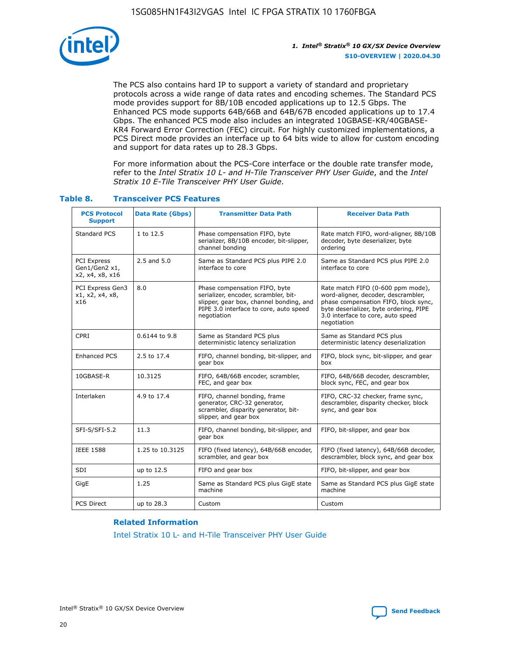

The PCS also contains hard IP to support a variety of standard and proprietary protocols across a wide range of data rates and encoding schemes. The Standard PCS mode provides support for 8B/10B encoded applications up to 12.5 Gbps. The Enhanced PCS mode supports 64B/66B and 64B/67B encoded applications up to 17.4 Gbps. The enhanced PCS mode also includes an integrated 10GBASE-KR/40GBASE-KR4 Forward Error Correction (FEC) circuit. For highly customized implementations, a PCS Direct mode provides an interface up to 64 bits wide to allow for custom encoding and support for data rates up to 28.3 Gbps.

For more information about the PCS-Core interface or the double rate transfer mode, refer to the *Intel Stratix 10 L- and H-Tile Transceiver PHY User Guide*, and the *Intel Stratix 10 E-Tile Transceiver PHY User Guide*.

| <b>PCS Protocol</b><br><b>Support</b>           | <b>Data Rate (Gbps)</b> | <b>Transmitter Data Path</b>                                                                                                                                              | <b>Receiver Data Path</b>                                                                                                                                                                                      |
|-------------------------------------------------|-------------------------|---------------------------------------------------------------------------------------------------------------------------------------------------------------------------|----------------------------------------------------------------------------------------------------------------------------------------------------------------------------------------------------------------|
| Standard PCS                                    | 1 to 12.5               | Phase compensation FIFO, byte<br>serializer, 8B/10B encoder, bit-slipper,<br>channel bonding                                                                              | Rate match FIFO, word-aligner, 8B/10B<br>decoder, byte deserializer, byte<br>ordering                                                                                                                          |
| PCI Express<br>Gen1/Gen2 x1,<br>x2, x4, x8, x16 | 2.5 and 5.0             | Same as Standard PCS plus PIPE 2.0<br>interface to core                                                                                                                   | Same as Standard PCS plus PIPE 2.0<br>interface to core                                                                                                                                                        |
| PCI Express Gen3<br>x1, x2, x4, x8,<br>x16      | 8.0                     | Phase compensation FIFO, byte<br>serializer, encoder, scrambler, bit-<br>slipper, gear box, channel bonding, and<br>PIPE 3.0 interface to core, auto speed<br>negotiation | Rate match FIFO (0-600 ppm mode),<br>word-aligner, decoder, descrambler,<br>phase compensation FIFO, block sync,<br>byte deserializer, byte ordering, PIPE<br>3.0 interface to core, auto speed<br>negotiation |
| CPRI                                            | 0.6144 to 9.8           | Same as Standard PCS plus<br>deterministic latency serialization                                                                                                          | Same as Standard PCS plus<br>deterministic latency deserialization                                                                                                                                             |
| <b>Enhanced PCS</b>                             | 2.5 to 17.4             | FIFO, channel bonding, bit-slipper, and<br>gear box                                                                                                                       | FIFO, block sync, bit-slipper, and gear<br>box                                                                                                                                                                 |
| 10GBASE-R                                       | 10.3125                 | FIFO, 64B/66B encoder, scrambler,<br>FEC, and gear box                                                                                                                    | FIFO, 64B/66B decoder, descrambler,<br>block sync, FEC, and gear box                                                                                                                                           |
| Interlaken                                      | 4.9 to 17.4             | FIFO, channel bonding, frame<br>generator, CRC-32 generator,<br>scrambler, disparity generator, bit-<br>slipper, and gear box                                             | FIFO, CRC-32 checker, frame sync,<br>descrambler, disparity checker, block<br>sync, and gear box                                                                                                               |
| SFI-S/SFI-5.2                                   | 11.3                    | FIFO, channel bonding, bit-slipper, and<br>gear box                                                                                                                       | FIFO, bit-slipper, and gear box                                                                                                                                                                                |
| <b>IEEE 1588</b>                                | 1.25 to 10.3125         | FIFO (fixed latency), 64B/66B encoder,<br>scrambler, and gear box                                                                                                         | FIFO (fixed latency), 64B/66B decoder,<br>descrambler, block sync, and gear box                                                                                                                                |
| SDI                                             | up to 12.5              | FIFO and gear box                                                                                                                                                         | FIFO, bit-slipper, and gear box                                                                                                                                                                                |
| GigE                                            | 1.25                    | Same as Standard PCS plus GigE state<br>machine                                                                                                                           | Same as Standard PCS plus GigE state<br>machine                                                                                                                                                                |
| <b>PCS Direct</b>                               | up to 28.3              | Custom                                                                                                                                                                    | Custom                                                                                                                                                                                                         |

### **Table 8. Transceiver PCS Features**

#### **Related Information**

[Intel Stratix 10 L- and H-Tile Transceiver PHY User Guide](https://www.altera.com/documentation/wry1479165198810.html)

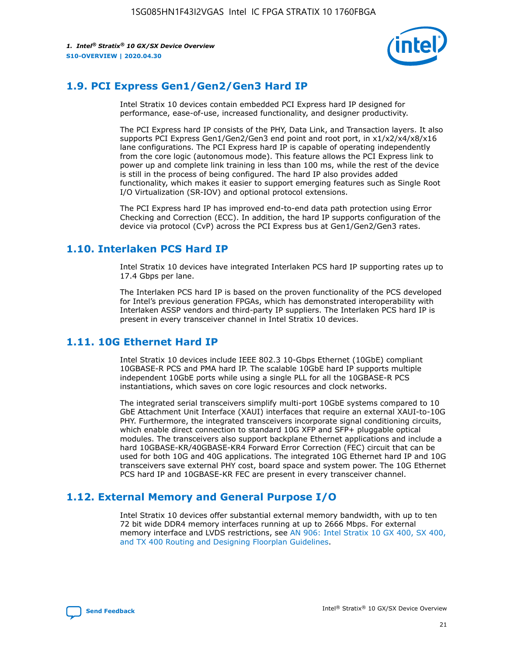

### **1.9. PCI Express Gen1/Gen2/Gen3 Hard IP**

Intel Stratix 10 devices contain embedded PCI Express hard IP designed for performance, ease-of-use, increased functionality, and designer productivity.

The PCI Express hard IP consists of the PHY, Data Link, and Transaction layers. It also supports PCI Express Gen1/Gen2/Gen3 end point and root port, in x1/x2/x4/x8/x16 lane configurations. The PCI Express hard IP is capable of operating independently from the core logic (autonomous mode). This feature allows the PCI Express link to power up and complete link training in less than 100 ms, while the rest of the device is still in the process of being configured. The hard IP also provides added functionality, which makes it easier to support emerging features such as Single Root I/O Virtualization (SR-IOV) and optional protocol extensions.

The PCI Express hard IP has improved end-to-end data path protection using Error Checking and Correction (ECC). In addition, the hard IP supports configuration of the device via protocol (CvP) across the PCI Express bus at Gen1/Gen2/Gen3 rates.

### **1.10. Interlaken PCS Hard IP**

Intel Stratix 10 devices have integrated Interlaken PCS hard IP supporting rates up to 17.4 Gbps per lane.

The Interlaken PCS hard IP is based on the proven functionality of the PCS developed for Intel's previous generation FPGAs, which has demonstrated interoperability with Interlaken ASSP vendors and third-party IP suppliers. The Interlaken PCS hard IP is present in every transceiver channel in Intel Stratix 10 devices.

### **1.11. 10G Ethernet Hard IP**

Intel Stratix 10 devices include IEEE 802.3 10-Gbps Ethernet (10GbE) compliant 10GBASE-R PCS and PMA hard IP. The scalable 10GbE hard IP supports multiple independent 10GbE ports while using a single PLL for all the 10GBASE-R PCS instantiations, which saves on core logic resources and clock networks.

The integrated serial transceivers simplify multi-port 10GbE systems compared to 10 GbE Attachment Unit Interface (XAUI) interfaces that require an external XAUI-to-10G PHY. Furthermore, the integrated transceivers incorporate signal conditioning circuits, which enable direct connection to standard 10G XFP and SFP+ pluggable optical modules. The transceivers also support backplane Ethernet applications and include a hard 10GBASE-KR/40GBASE-KR4 Forward Error Correction (FEC) circuit that can be used for both 10G and 40G applications. The integrated 10G Ethernet hard IP and 10G transceivers save external PHY cost, board space and system power. The 10G Ethernet PCS hard IP and 10GBASE-KR FEC are present in every transceiver channel.

### **1.12. External Memory and General Purpose I/O**

Intel Stratix 10 devices offer substantial external memory bandwidth, with up to ten 72 bit wide DDR4 memory interfaces running at up to 2666 Mbps. For external memory interface and LVDS restrictions, see [AN 906: Intel Stratix 10 GX 400, SX 400,](https://www.intel.com/content/www/us/en/programmable/documentation/sjf1574667190623.html#bft1574667627484) [and TX 400 Routing and Designing Floorplan Guidelines.](https://www.intel.com/content/www/us/en/programmable/documentation/sjf1574667190623.html#bft1574667627484)

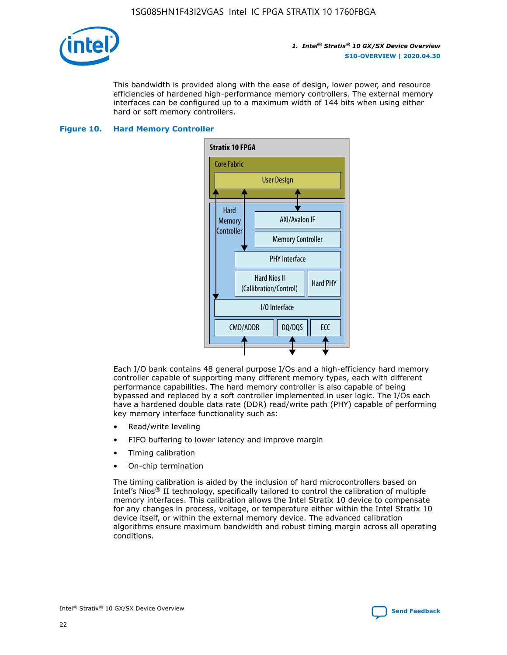

This bandwidth is provided along with the ease of design, lower power, and resource efficiencies of hardened high-performance memory controllers. The external memory interfaces can be configured up to a maximum width of 144 bits when using either hard or soft memory controllers.

#### **Figure 10. Hard Memory Controller**



Each I/O bank contains 48 general purpose I/Os and a high-efficiency hard memory controller capable of supporting many different memory types, each with different performance capabilities. The hard memory controller is also capable of being bypassed and replaced by a soft controller implemented in user logic. The I/Os each have a hardened double data rate (DDR) read/write path (PHY) capable of performing key memory interface functionality such as:

- Read/write leveling
- FIFO buffering to lower latency and improve margin
- Timing calibration
- On-chip termination

The timing calibration is aided by the inclusion of hard microcontrollers based on Intel's Nios® II technology, specifically tailored to control the calibration of multiple memory interfaces. This calibration allows the Intel Stratix 10 device to compensate for any changes in process, voltage, or temperature either within the Intel Stratix 10 device itself, or within the external memory device. The advanced calibration algorithms ensure maximum bandwidth and robust timing margin across all operating conditions.

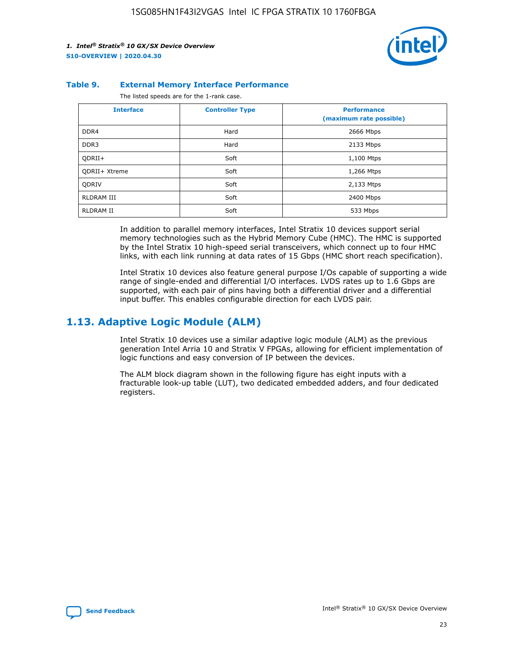

#### **Table 9. External Memory Interface Performance**

The listed speeds are for the 1-rank case.

| <b>Interface</b>     | <b>Controller Type</b> | <b>Performance</b><br>(maximum rate possible) |
|----------------------|------------------------|-----------------------------------------------|
| DDR4                 | Hard                   | 2666 Mbps                                     |
| DDR <sub>3</sub>     | Hard                   | 2133 Mbps                                     |
| QDRII+               | Soft                   | 1,100 Mtps                                    |
| <b>ODRII+ Xtreme</b> | Soft                   | 1,266 Mtps                                    |
| <b>ODRIV</b>         | Soft                   | 2,133 Mtps                                    |
| RLDRAM III           | Soft                   | 2400 Mbps                                     |
| <b>RLDRAM II</b>     | Soft                   | 533 Mbps                                      |

In addition to parallel memory interfaces, Intel Stratix 10 devices support serial memory technologies such as the Hybrid Memory Cube (HMC). The HMC is supported by the Intel Stratix 10 high-speed serial transceivers, which connect up to four HMC links, with each link running at data rates of 15 Gbps (HMC short reach specification).

Intel Stratix 10 devices also feature general purpose I/Os capable of supporting a wide range of single-ended and differential I/O interfaces. LVDS rates up to 1.6 Gbps are supported, with each pair of pins having both a differential driver and a differential input buffer. This enables configurable direction for each LVDS pair.

### **1.13. Adaptive Logic Module (ALM)**

Intel Stratix 10 devices use a similar adaptive logic module (ALM) as the previous generation Intel Arria 10 and Stratix V FPGAs, allowing for efficient implementation of logic functions and easy conversion of IP between the devices.

The ALM block diagram shown in the following figure has eight inputs with a fracturable look-up table (LUT), two dedicated embedded adders, and four dedicated registers.

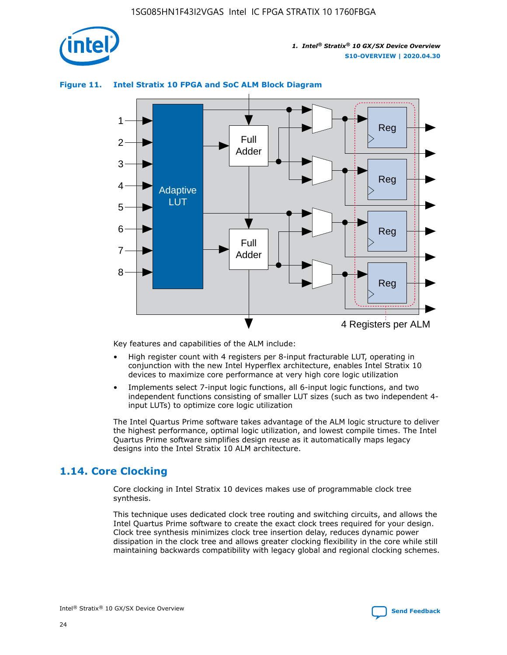

### **Figure 11. Intel Stratix 10 FPGA and SoC ALM Block Diagram**



Key features and capabilities of the ALM include:

- High register count with 4 registers per 8-input fracturable LUT, operating in conjunction with the new Intel Hyperflex architecture, enables Intel Stratix 10 devices to maximize core performance at very high core logic utilization
- Implements select 7-input logic functions, all 6-input logic functions, and two independent functions consisting of smaller LUT sizes (such as two independent 4 input LUTs) to optimize core logic utilization

The Intel Quartus Prime software takes advantage of the ALM logic structure to deliver the highest performance, optimal logic utilization, and lowest compile times. The Intel Quartus Prime software simplifies design reuse as it automatically maps legacy designs into the Intel Stratix 10 ALM architecture.

### **1.14. Core Clocking**

Core clocking in Intel Stratix 10 devices makes use of programmable clock tree synthesis.

This technique uses dedicated clock tree routing and switching circuits, and allows the Intel Quartus Prime software to create the exact clock trees required for your design. Clock tree synthesis minimizes clock tree insertion delay, reduces dynamic power dissipation in the clock tree and allows greater clocking flexibility in the core while still maintaining backwards compatibility with legacy global and regional clocking schemes.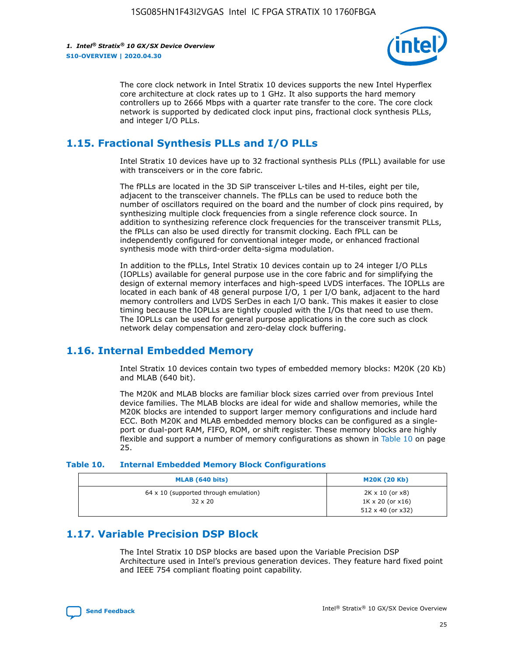

The core clock network in Intel Stratix 10 devices supports the new Intel Hyperflex core architecture at clock rates up to 1 GHz. It also supports the hard memory controllers up to 2666 Mbps with a quarter rate transfer to the core. The core clock network is supported by dedicated clock input pins, fractional clock synthesis PLLs, and integer I/O PLLs.

### **1.15. Fractional Synthesis PLLs and I/O PLLs**

Intel Stratix 10 devices have up to 32 fractional synthesis PLLs (fPLL) available for use with transceivers or in the core fabric.

The fPLLs are located in the 3D SiP transceiver L-tiles and H-tiles, eight per tile, adjacent to the transceiver channels. The fPLLs can be used to reduce both the number of oscillators required on the board and the number of clock pins required, by synthesizing multiple clock frequencies from a single reference clock source. In addition to synthesizing reference clock frequencies for the transceiver transmit PLLs, the fPLLs can also be used directly for transmit clocking. Each fPLL can be independently configured for conventional integer mode, or enhanced fractional synthesis mode with third-order delta-sigma modulation.

In addition to the fPLLs, Intel Stratix 10 devices contain up to 24 integer I/O PLLs (IOPLLs) available for general purpose use in the core fabric and for simplifying the design of external memory interfaces and high-speed LVDS interfaces. The IOPLLs are located in each bank of 48 general purpose I/O, 1 per I/O bank, adjacent to the hard memory controllers and LVDS SerDes in each I/O bank. This makes it easier to close timing because the IOPLLs are tightly coupled with the I/Os that need to use them. The IOPLLs can be used for general purpose applications in the core such as clock network delay compensation and zero-delay clock buffering.

### **1.16. Internal Embedded Memory**

Intel Stratix 10 devices contain two types of embedded memory blocks: M20K (20 Kb) and MLAB (640 bit).

The M20K and MLAB blocks are familiar block sizes carried over from previous Intel device families. The MLAB blocks are ideal for wide and shallow memories, while the M20K blocks are intended to support larger memory configurations and include hard ECC. Both M20K and MLAB embedded memory blocks can be configured as a singleport or dual-port RAM, FIFO, ROM, or shift register. These memory blocks are highly flexible and support a number of memory configurations as shown in Table 10 on page 25.

#### **Table 10. Internal Embedded Memory Block Configurations**

| MLAB (640 bits)                                                | <b>M20K (20 Kb)</b>                                                          |
|----------------------------------------------------------------|------------------------------------------------------------------------------|
| $64 \times 10$ (supported through emulation)<br>$32 \times 20$ | 2K x 10 (or x8)<br>$1K \times 20$ (or $x16$ )<br>$512 \times 40$ (or $x32$ ) |

### **1.17. Variable Precision DSP Block**

The Intel Stratix 10 DSP blocks are based upon the Variable Precision DSP Architecture used in Intel's previous generation devices. They feature hard fixed point and IEEE 754 compliant floating point capability.

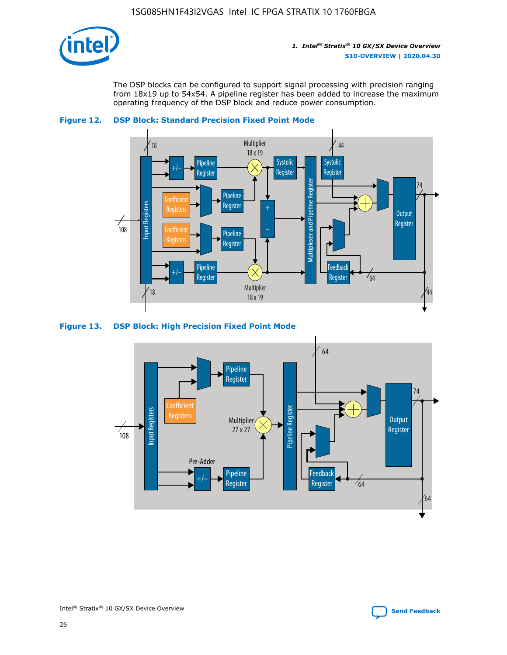

The DSP blocks can be configured to support signal processing with precision ranging from 18x19 up to 54x54. A pipeline register has been added to increase the maximum operating frequency of the DSP block and reduce power consumption.





#### **Figure 13. DSP Block: High Precision Fixed Point Mode**

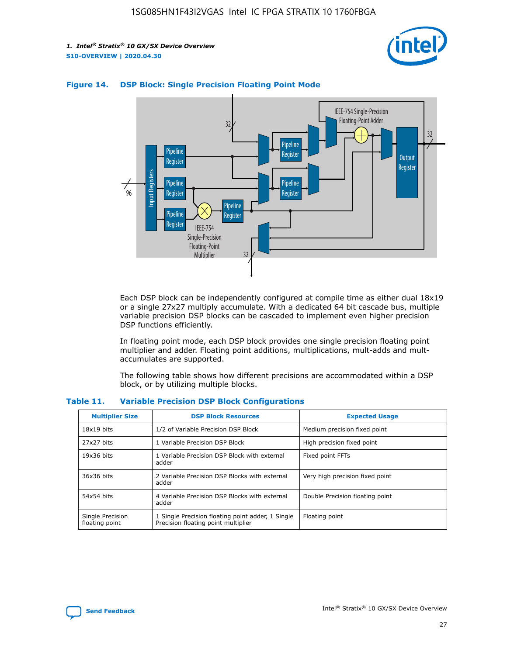



### **Figure 14. DSP Block: Single Precision Floating Point Mode**

Each DSP block can be independently configured at compile time as either dual 18x19 or a single 27x27 multiply accumulate. With a dedicated 64 bit cascade bus, multiple variable precision DSP blocks can be cascaded to implement even higher precision DSP functions efficiently.

In floating point mode, each DSP block provides one single precision floating point multiplier and adder. Floating point additions, multiplications, mult-adds and multaccumulates are supported.

The following table shows how different precisions are accommodated within a DSP block, or by utilizing multiple blocks.

| <b>Multiplier Size</b>             | <b>DSP Block Resources</b>                                                               | <b>Expected Usage</b>           |
|------------------------------------|------------------------------------------------------------------------------------------|---------------------------------|
| $18x19$ bits                       | 1/2 of Variable Precision DSP Block                                                      | Medium precision fixed point    |
| 27x27 bits                         | 1 Variable Precision DSP Block                                                           | High precision fixed point      |
| $19x36$ bits                       | 1 Variable Precision DSP Block with external<br>adder                                    | Fixed point FFTs                |
| 36x36 bits                         | 2 Variable Precision DSP Blocks with external<br>adder                                   | Very high precision fixed point |
| 54x54 bits                         | 4 Variable Precision DSP Blocks with external<br>adder                                   | Double Precision floating point |
| Single Precision<br>floating point | 1 Single Precision floating point adder, 1 Single<br>Precision floating point multiplier | Floating point                  |

#### **Table 11. Variable Precision DSP Block Configurations**

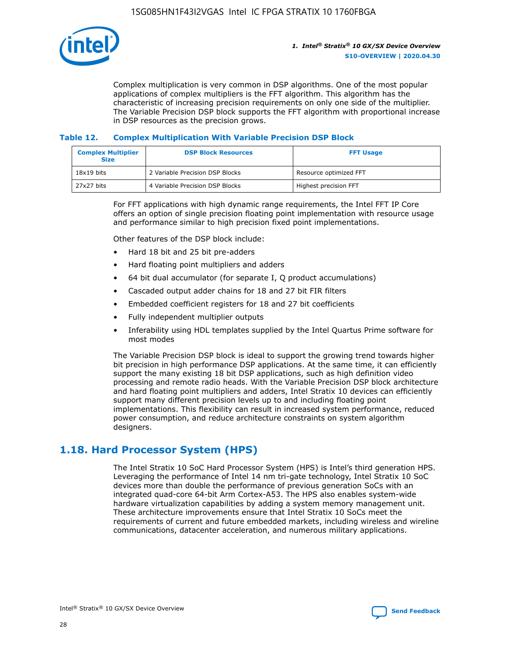

Complex multiplication is very common in DSP algorithms. One of the most popular applications of complex multipliers is the FFT algorithm. This algorithm has the characteristic of increasing precision requirements on only one side of the multiplier. The Variable Precision DSP block supports the FFT algorithm with proportional increase in DSP resources as the precision grows.

### **Table 12. Complex Multiplication With Variable Precision DSP Block**

| <b>Complex Multiplier</b><br><b>Size</b> | <b>DSP Block Resources</b>      | <b>FFT Usage</b>       |
|------------------------------------------|---------------------------------|------------------------|
| $18x19$ bits                             | 2 Variable Precision DSP Blocks | Resource optimized FFT |
| 27x27 bits                               | 4 Variable Precision DSP Blocks | Highest precision FFT  |

For FFT applications with high dynamic range requirements, the Intel FFT IP Core offers an option of single precision floating point implementation with resource usage and performance similar to high precision fixed point implementations.

Other features of the DSP block include:

- Hard 18 bit and 25 bit pre-adders
- Hard floating point multipliers and adders
- 64 bit dual accumulator (for separate I, Q product accumulations)
- Cascaded output adder chains for 18 and 27 bit FIR filters
- Embedded coefficient registers for 18 and 27 bit coefficients
- Fully independent multiplier outputs
- Inferability using HDL templates supplied by the Intel Quartus Prime software for most modes

The Variable Precision DSP block is ideal to support the growing trend towards higher bit precision in high performance DSP applications. At the same time, it can efficiently support the many existing 18 bit DSP applications, such as high definition video processing and remote radio heads. With the Variable Precision DSP block architecture and hard floating point multipliers and adders, Intel Stratix 10 devices can efficiently support many different precision levels up to and including floating point implementations. This flexibility can result in increased system performance, reduced power consumption, and reduce architecture constraints on system algorithm designers.

### **1.18. Hard Processor System (HPS)**

The Intel Stratix 10 SoC Hard Processor System (HPS) is Intel's third generation HPS. Leveraging the performance of Intel 14 nm tri-gate technology, Intel Stratix 10 SoC devices more than double the performance of previous generation SoCs with an integrated quad-core 64-bit Arm Cortex-A53. The HPS also enables system-wide hardware virtualization capabilities by adding a system memory management unit. These architecture improvements ensure that Intel Stratix 10 SoCs meet the requirements of current and future embedded markets, including wireless and wireline communications, datacenter acceleration, and numerous military applications.

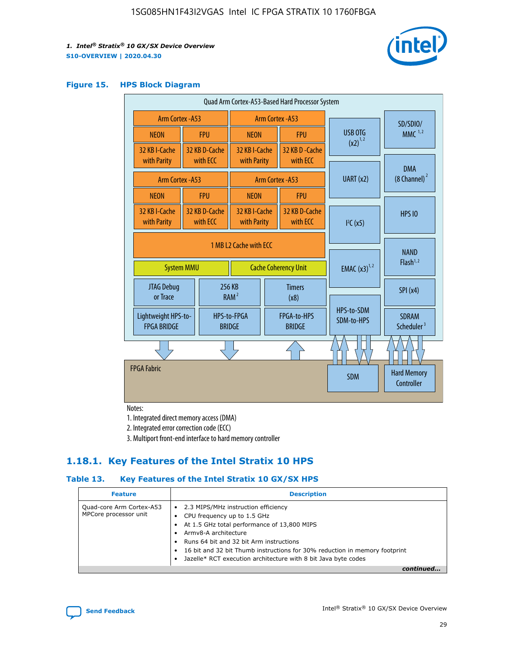

### **Figure 15. HPS Block Diagram**

| Quad Arm Cortex-A53-Based Hard Processor System |  |                           |                                                     |  |                           |                          |                                        |                                  |
|-------------------------------------------------|--|---------------------------|-----------------------------------------------------|--|---------------------------|--------------------------|----------------------------------------|----------------------------------|
| <b>Arm Cortex - A53</b>                         |  |                           | Arm Cortex - A53                                    |  |                           |                          | SD/SDIO/                               |                                  |
| <b>NEON</b>                                     |  | <b>FPU</b>                | <b>NEON</b>                                         |  | <b>FPU</b>                |                          | USB OTG                                | $MMC$ <sup>1,2</sup>             |
| 32 KB I-Cache                                   |  | 32 KB D-Cache             | 32 KB I-Cache                                       |  | 32 KB D - Cache           |                          | $(x2)^{1,2}$                           |                                  |
| with Parity                                     |  | with ECC                  | with Parity                                         |  | with ECC                  |                          |                                        | <b>DMA</b>                       |
| Arm Cortex - A53                                |  |                           |                                                     |  | Arm Cortex - A53          |                          | UART (x2)                              | $(8 \text{ Channel})^2$          |
| <b>NEON</b>                                     |  | <b>FPU</b>                | <b>NEON</b>                                         |  | <b>FPU</b>                |                          |                                        |                                  |
| 32 KB I-Cache<br>with Parity                    |  | 32 KB D-Cache<br>with ECC | 32 KB I-Cache<br>with Parity                        |  | 32 KB D-Cache<br>with ECC |                          | I <sup>2</sup> C(x5)                   | <b>HPS 10</b>                    |
|                                                 |  |                           | 1 MB L2 Cache with ECC                              |  |                           |                          |                                        |                                  |
| <b>System MMU</b>                               |  |                           | <b>Cache Coherency Unit</b>                         |  |                           | <b>EMAC</b> $(x3)^{1,2}$ | <b>NAND</b><br>Flash <sup>1,2</sup>    |                                  |
| JTAG Debug<br>or Trace                          |  |                           | 256 KB<br><b>Timers</b><br>RAM <sup>2</sup><br>(x8) |  |                           |                          | SPI(x4)                                |                                  |
| Lightweight HPS-to-<br><b>FPGA BRIDGE</b>       |  | <b>BRIDGE</b>             | HPS-to-FPGA<br>FPGA-to-HPS<br><b>BRIDGE</b>         |  |                           | HPS-to-SDM<br>SDM-to-HPS | <b>SDRAM</b><br>Scheduler <sup>3</sup> |                                  |
|                                                 |  |                           |                                                     |  |                           |                          |                                        |                                  |
| <b>FPGA Fabric</b>                              |  |                           |                                                     |  |                           |                          | <b>SDM</b>                             | <b>Hard Memory</b><br>Controller |
|                                                 |  |                           |                                                     |  |                           |                          |                                        |                                  |

Notes:

1. Integrated direct memory access (DMA)

2. Integrated error correction code (ECC)

3. Multiport front-end interface to hard memory controller

### **1.18.1. Key Features of the Intel Stratix 10 HPS**

### **Table 13. Key Features of the Intel Stratix 10 GX/SX HPS**

| <b>Feature</b>                                    | <b>Description</b>                                                                                                                                                                                                                                                                                                                                     |
|---------------------------------------------------|--------------------------------------------------------------------------------------------------------------------------------------------------------------------------------------------------------------------------------------------------------------------------------------------------------------------------------------------------------|
| Quad-core Arm Cortex-A53<br>MPCore processor unit | 2.3 MIPS/MHz instruction efficiency<br>$\bullet$<br>CPU frequency up to 1.5 GHz<br>٠<br>At 1.5 GHz total performance of 13,800 MIPS<br>Army8-A architecture<br>Runs 64 bit and 32 bit Arm instructions<br>16 bit and 32 bit Thumb instructions for 30% reduction in memory footprint<br>Jazelle* RCT execution architecture with 8 bit Java byte codes |
|                                                   |                                                                                                                                                                                                                                                                                                                                                        |

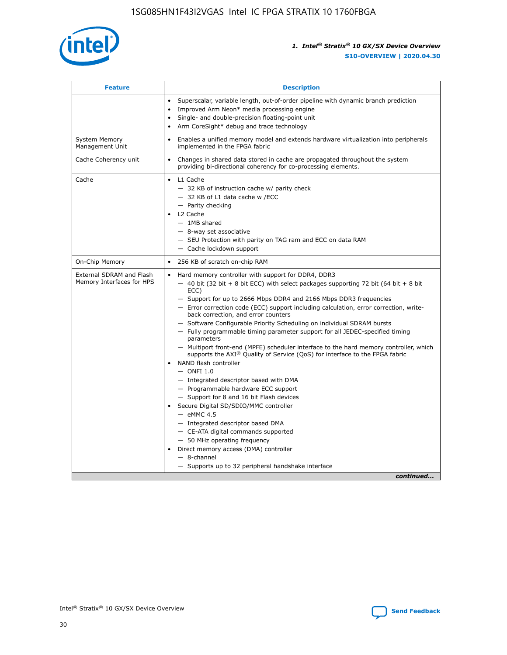

| <b>Feature</b>                                        | <b>Description</b>                                                                                                                                                                                                                                                                                                                                                                                                                                                                                                                                                                                                                                                                                                                                                                                                                                                                                                                                                                                                                                                                                                                                                                                                     |
|-------------------------------------------------------|------------------------------------------------------------------------------------------------------------------------------------------------------------------------------------------------------------------------------------------------------------------------------------------------------------------------------------------------------------------------------------------------------------------------------------------------------------------------------------------------------------------------------------------------------------------------------------------------------------------------------------------------------------------------------------------------------------------------------------------------------------------------------------------------------------------------------------------------------------------------------------------------------------------------------------------------------------------------------------------------------------------------------------------------------------------------------------------------------------------------------------------------------------------------------------------------------------------------|
|                                                       | Superscalar, variable length, out-of-order pipeline with dynamic branch prediction<br>Improved Arm Neon* media processing engine<br>$\bullet$<br>Single- and double-precision floating-point unit<br>Arm CoreSight* debug and trace technology<br>$\bullet$                                                                                                                                                                                                                                                                                                                                                                                                                                                                                                                                                                                                                                                                                                                                                                                                                                                                                                                                                            |
| <b>System Memory</b><br>Management Unit               | Enables a unified memory model and extends hardware virtualization into peripherals<br>$\bullet$<br>implemented in the FPGA fabric                                                                                                                                                                                                                                                                                                                                                                                                                                                                                                                                                                                                                                                                                                                                                                                                                                                                                                                                                                                                                                                                                     |
| Cache Coherency unit                                  | $\bullet$<br>Changes in shared data stored in cache are propagated throughout the system<br>providing bi-directional coherency for co-processing elements.                                                                                                                                                                                                                                                                                                                                                                                                                                                                                                                                                                                                                                                                                                                                                                                                                                                                                                                                                                                                                                                             |
| Cache                                                 | L1 Cache<br>$\bullet$<br>- 32 KB of instruction cache w/ parity check<br>- 32 KB of L1 data cache w /ECC<br>- Parity checking<br>L2 Cache<br>$-$ 1MB shared<br>- 8-way set associative<br>- SEU Protection with parity on TAG ram and ECC on data RAM<br>- Cache lockdown support                                                                                                                                                                                                                                                                                                                                                                                                                                                                                                                                                                                                                                                                                                                                                                                                                                                                                                                                      |
| On-Chip Memory                                        | 256 KB of scratch on-chip RAM<br>$\bullet$                                                                                                                                                                                                                                                                                                                                                                                                                                                                                                                                                                                                                                                                                                                                                                                                                                                                                                                                                                                                                                                                                                                                                                             |
| External SDRAM and Flash<br>Memory Interfaces for HPS | Hard memory controller with support for DDR4, DDR3<br>$\bullet$<br>$-$ 40 bit (32 bit + 8 bit ECC) with select packages supporting 72 bit (64 bit + 8 bit<br>ECC)<br>- Support for up to 2666 Mbps DDR4 and 2166 Mbps DDR3 frequencies<br>- Error correction code (ECC) support including calculation, error correction, write-<br>back correction, and error counters<br>- Software Configurable Priority Scheduling on individual SDRAM bursts<br>- Fully programmable timing parameter support for all JEDEC-specified timing<br>parameters<br>- Multiport front-end (MPFE) scheduler interface to the hard memory controller, which<br>supports the $AXI^{\circledR}$ Quality of Service (QoS) for interface to the FPGA fabric<br>NAND flash controller<br>$-$ ONFI 1.0<br>- Integrated descriptor based with DMA<br>- Programmable hardware ECC support<br>- Support for 8 and 16 bit Flash devices<br>Secure Digital SD/SDIO/MMC controller<br>$-$ eMMC 4.5<br>- Integrated descriptor based DMA<br>- CE-ATA digital commands supported<br>- 50 MHz operating frequency<br>Direct memory access (DMA) controller<br>$\bullet$<br>- 8-channel<br>- Supports up to 32 peripheral handshake interface<br>continued |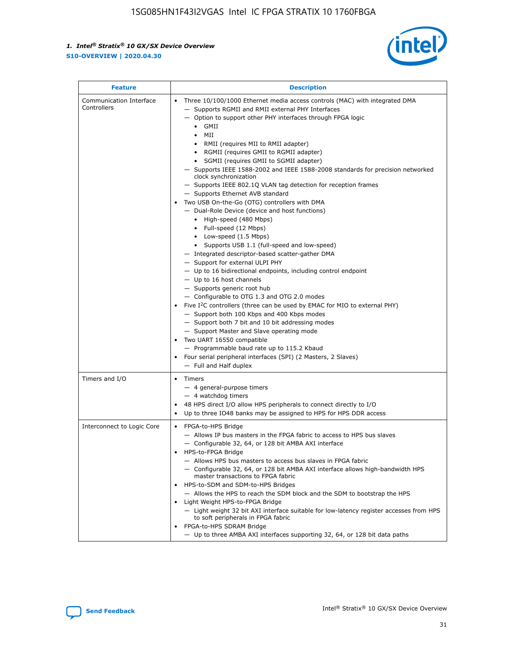

| <b>Feature</b>                         | <b>Description</b>                                                                                                                                                                                                                                                                                                                                                                                                                                                                                                                                                                                                                                                                                                                                                                                                                                                                                                                                                                                                                                                                                                                                                                                                                                                                                                                                                                                                                                                                                                   |
|----------------------------------------|----------------------------------------------------------------------------------------------------------------------------------------------------------------------------------------------------------------------------------------------------------------------------------------------------------------------------------------------------------------------------------------------------------------------------------------------------------------------------------------------------------------------------------------------------------------------------------------------------------------------------------------------------------------------------------------------------------------------------------------------------------------------------------------------------------------------------------------------------------------------------------------------------------------------------------------------------------------------------------------------------------------------------------------------------------------------------------------------------------------------------------------------------------------------------------------------------------------------------------------------------------------------------------------------------------------------------------------------------------------------------------------------------------------------------------------------------------------------------------------------------------------------|
| Communication Interface<br>Controllers | Three 10/100/1000 Ethernet media access controls (MAC) with integrated DMA<br>- Supports RGMII and RMII external PHY Interfaces<br>- Option to support other PHY interfaces through FPGA logic<br>$\bullet$ GMII<br>MII<br>$\bullet$<br>RMII (requires MII to RMII adapter)<br>$\bullet$<br>• RGMII (requires GMII to RGMII adapter)<br>SGMII (requires GMII to SGMII adapter)<br>- Supports IEEE 1588-2002 and IEEE 1588-2008 standards for precision networked<br>clock synchronization<br>- Supports IEEE 802.1Q VLAN tag detection for reception frames<br>- Supports Ethernet AVB standard<br>Two USB On-the-Go (OTG) controllers with DMA<br>- Dual-Role Device (device and host functions)<br>• High-speed (480 Mbps)<br>• Full-speed (12 Mbps)<br>• Low-speed (1.5 Mbps)<br>• Supports USB 1.1 (full-speed and low-speed)<br>- Integrated descriptor-based scatter-gather DMA<br>- Support for external ULPI PHY<br>- Up to 16 bidirectional endpoints, including control endpoint<br>$-$ Up to 16 host channels<br>- Supports generic root hub<br>- Configurable to OTG 1.3 and OTG 2.0 modes<br>Five I <sup>2</sup> C controllers (three can be used by EMAC for MIO to external PHY)<br>- Support both 100 Kbps and 400 Kbps modes<br>- Support both 7 bit and 10 bit addressing modes<br>- Support Master and Slave operating mode<br>Two UART 16550 compatible<br>- Programmable baud rate up to 115.2 Kbaud<br>Four serial peripheral interfaces (SPI) (2 Masters, 2 Slaves)<br>- Full and Half duplex |
| Timers and I/O                         | Timers<br>$\bullet$<br>- 4 general-purpose timers<br>$-4$ watchdog timers<br>48 HPS direct I/O allow HPS peripherals to connect directly to I/O<br>Up to three IO48 banks may be assigned to HPS for HPS DDR access                                                                                                                                                                                                                                                                                                                                                                                                                                                                                                                                                                                                                                                                                                                                                                                                                                                                                                                                                                                                                                                                                                                                                                                                                                                                                                  |
| Interconnect to Logic Core             | • FPGA-to-HPS Bridge<br>- Allows IP bus masters in the FPGA fabric to access to HPS bus slaves<br>- Configurable 32, 64, or 128 bit AMBA AXI interface<br>HPS-to-FPGA Bridge<br>- Allows HPS bus masters to access bus slaves in FPGA fabric<br>- Configurable 32, 64, or 128 bit AMBA AXI interface allows high-bandwidth HPS<br>master transactions to FPGA fabric<br>HPS-to-SDM and SDM-to-HPS Bridges<br>- Allows the HPS to reach the SDM block and the SDM to bootstrap the HPS<br>Light Weight HPS-to-FPGA Bridge<br>- Light weight 32 bit AXI interface suitable for low-latency register accesses from HPS<br>to soft peripherals in FPGA fabric<br>FPGA-to-HPS SDRAM Bridge<br>- Up to three AMBA AXI interfaces supporting 32, 64, or 128 bit data paths                                                                                                                                                                                                                                                                                                                                                                                                                                                                                                                                                                                                                                                                                                                                                  |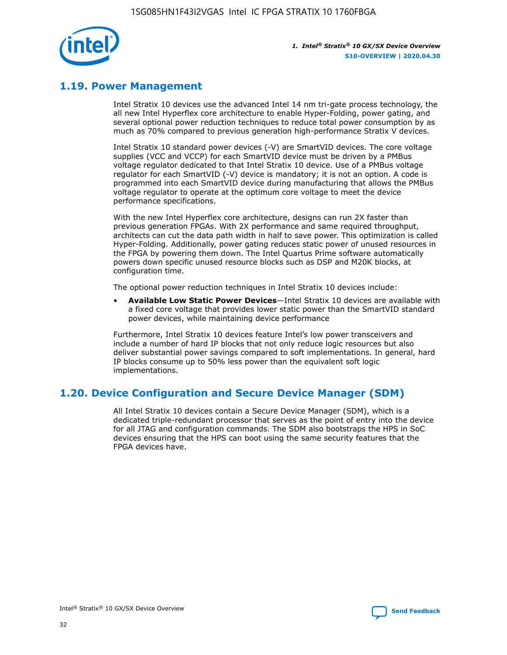

### **1.19. Power Management**

Intel Stratix 10 devices use the advanced Intel 14 nm tri-gate process technology, the all new Intel Hyperflex core architecture to enable Hyper-Folding, power gating, and several optional power reduction techniques to reduce total power consumption by as much as 70% compared to previous generation high-performance Stratix V devices.

Intel Stratix 10 standard power devices (-V) are SmartVID devices. The core voltage supplies (VCC and VCCP) for each SmartVID device must be driven by a PMBus voltage regulator dedicated to that Intel Stratix 10 device. Use of a PMBus voltage regulator for each SmartVID (-V) device is mandatory; it is not an option. A code is programmed into each SmartVID device during manufacturing that allows the PMBus voltage regulator to operate at the optimum core voltage to meet the device performance specifications.

With the new Intel Hyperflex core architecture, designs can run 2X faster than previous generation FPGAs. With 2X performance and same required throughput, architects can cut the data path width in half to save power. This optimization is called Hyper-Folding. Additionally, power gating reduces static power of unused resources in the FPGA by powering them down. The Intel Quartus Prime software automatically powers down specific unused resource blocks such as DSP and M20K blocks, at configuration time.

The optional power reduction techniques in Intel Stratix 10 devices include:

• **Available Low Static Power Devices**—Intel Stratix 10 devices are available with a fixed core voltage that provides lower static power than the SmartVID standard power devices, while maintaining device performance

Furthermore, Intel Stratix 10 devices feature Intel's low power transceivers and include a number of hard IP blocks that not only reduce logic resources but also deliver substantial power savings compared to soft implementations. In general, hard IP blocks consume up to 50% less power than the equivalent soft logic implementations.

### **1.20. Device Configuration and Secure Device Manager (SDM)**

All Intel Stratix 10 devices contain a Secure Device Manager (SDM), which is a dedicated triple-redundant processor that serves as the point of entry into the device for all JTAG and configuration commands. The SDM also bootstraps the HPS in SoC devices ensuring that the HPS can boot using the same security features that the FPGA devices have.

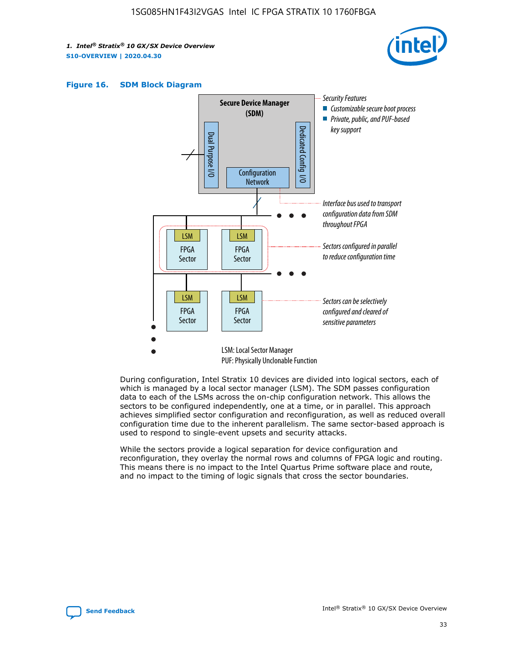





During configuration, Intel Stratix 10 devices are divided into logical sectors, each of which is managed by a local sector manager (LSM). The SDM passes configuration data to each of the LSMs across the on-chip configuration network. This allows the sectors to be configured independently, one at a time, or in parallel. This approach achieves simplified sector configuration and reconfiguration, as well as reduced overall configuration time due to the inherent parallelism. The same sector-based approach is used to respond to single-event upsets and security attacks.

While the sectors provide a logical separation for device configuration and reconfiguration, they overlay the normal rows and columns of FPGA logic and routing. This means there is no impact to the Intel Quartus Prime software place and route, and no impact to the timing of logic signals that cross the sector boundaries.

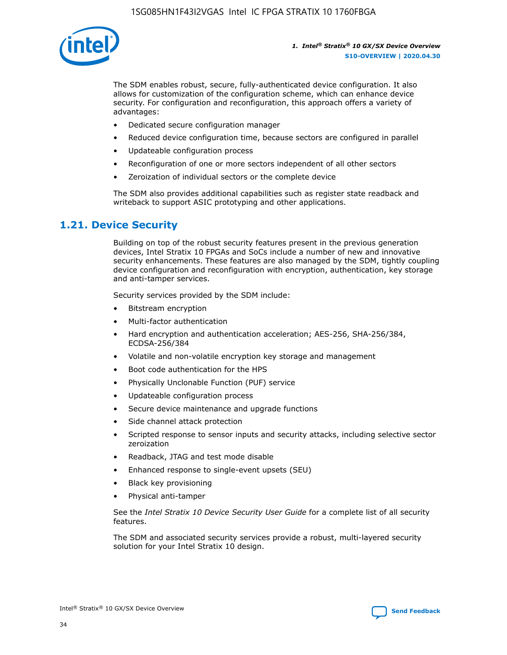

The SDM enables robust, secure, fully-authenticated device configuration. It also allows for customization of the configuration scheme, which can enhance device security. For configuration and reconfiguration, this approach offers a variety of advantages:

- Dedicated secure configuration manager
- Reduced device configuration time, because sectors are configured in parallel
- Updateable configuration process
- Reconfiguration of one or more sectors independent of all other sectors
- Zeroization of individual sectors or the complete device

The SDM also provides additional capabilities such as register state readback and writeback to support ASIC prototyping and other applications.

### **1.21. Device Security**

Building on top of the robust security features present in the previous generation devices, Intel Stratix 10 FPGAs and SoCs include a number of new and innovative security enhancements. These features are also managed by the SDM, tightly coupling device configuration and reconfiguration with encryption, authentication, key storage and anti-tamper services.

Security services provided by the SDM include:

- Bitstream encryption
- Multi-factor authentication
- Hard encryption and authentication acceleration; AES-256, SHA-256/384, ECDSA-256/384
- Volatile and non-volatile encryption key storage and management
- Boot code authentication for the HPS
- Physically Unclonable Function (PUF) service
- Updateable configuration process
- Secure device maintenance and upgrade functions
- Side channel attack protection
- Scripted response to sensor inputs and security attacks, including selective sector zeroization
- Readback, JTAG and test mode disable
- Enhanced response to single-event upsets (SEU)
- Black key provisioning
- Physical anti-tamper

See the *Intel Stratix 10 Device Security User Guide* for a complete list of all security features.

The SDM and associated security services provide a robust, multi-layered security solution for your Intel Stratix 10 design.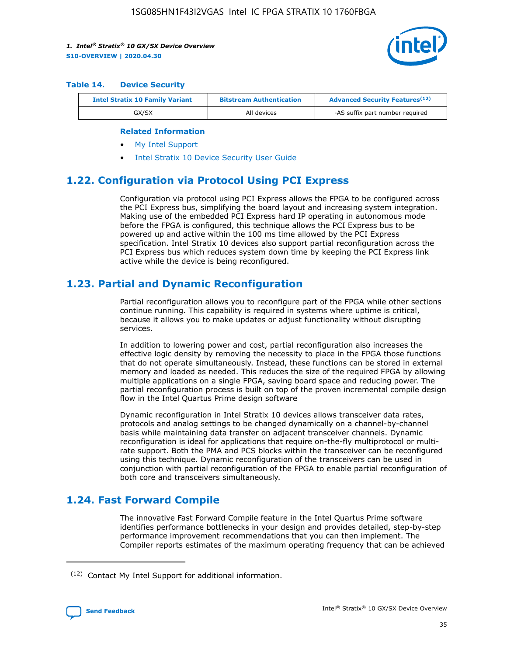

#### **Table 14. Device Security**

| <b>Intel Stratix 10 Family Variant</b> | <b>Bitstream Authentication</b> | <b>Advanced Security Features</b> <sup>(12)</sup> |
|----------------------------------------|---------------------------------|---------------------------------------------------|
| GX/SX                                  | All devices                     | -AS suffix part number required                   |

#### **Related Information**

- [My Intel Support](https://www.intel.com/content/www/us/en/programmable/my-intel/mal-home.html)
- [Intel Stratix 10 Device Security User Guide](https://www.intel.com/content/www/us/en/programmable/documentation/ndq1483601370898.html#wcd1483611014402)

### **1.22. Configuration via Protocol Using PCI Express**

Configuration via protocol using PCI Express allows the FPGA to be configured across the PCI Express bus, simplifying the board layout and increasing system integration. Making use of the embedded PCI Express hard IP operating in autonomous mode before the FPGA is configured, this technique allows the PCI Express bus to be powered up and active within the 100 ms time allowed by the PCI Express specification. Intel Stratix 10 devices also support partial reconfiguration across the PCI Express bus which reduces system down time by keeping the PCI Express link active while the device is being reconfigured.

### **1.23. Partial and Dynamic Reconfiguration**

Partial reconfiguration allows you to reconfigure part of the FPGA while other sections continue running. This capability is required in systems where uptime is critical, because it allows you to make updates or adjust functionality without disrupting services.

In addition to lowering power and cost, partial reconfiguration also increases the effective logic density by removing the necessity to place in the FPGA those functions that do not operate simultaneously. Instead, these functions can be stored in external memory and loaded as needed. This reduces the size of the required FPGA by allowing multiple applications on a single FPGA, saving board space and reducing power. The partial reconfiguration process is built on top of the proven incremental compile design flow in the Intel Quartus Prime design software

Dynamic reconfiguration in Intel Stratix 10 devices allows transceiver data rates, protocols and analog settings to be changed dynamically on a channel-by-channel basis while maintaining data transfer on adjacent transceiver channels. Dynamic reconfiguration is ideal for applications that require on-the-fly multiprotocol or multirate support. Both the PMA and PCS blocks within the transceiver can be reconfigured using this technique. Dynamic reconfiguration of the transceivers can be used in conjunction with partial reconfiguration of the FPGA to enable partial reconfiguration of both core and transceivers simultaneously.

### **1.24. Fast Forward Compile**

The innovative Fast Forward Compile feature in the Intel Quartus Prime software identifies performance bottlenecks in your design and provides detailed, step-by-step performance improvement recommendations that you can then implement. The Compiler reports estimates of the maximum operating frequency that can be achieved

<sup>(12)</sup> Contact My Intel Support for additional information.

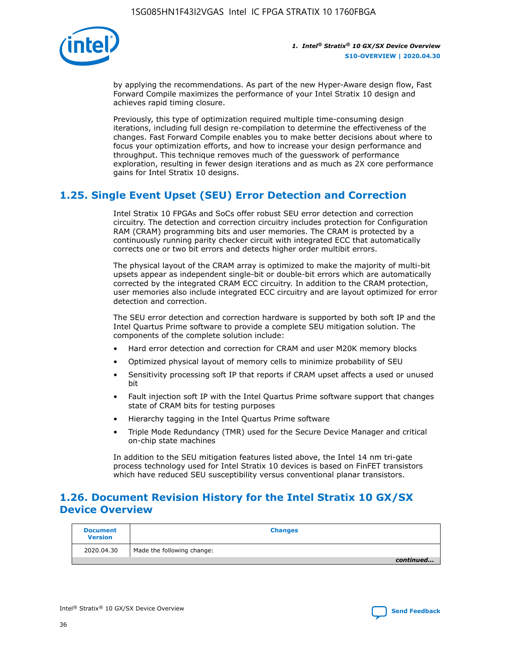

by applying the recommendations. As part of the new Hyper-Aware design flow, Fast Forward Compile maximizes the performance of your Intel Stratix 10 design and achieves rapid timing closure.

Previously, this type of optimization required multiple time-consuming design iterations, including full design re-compilation to determine the effectiveness of the changes. Fast Forward Compile enables you to make better decisions about where to focus your optimization efforts, and how to increase your design performance and throughput. This technique removes much of the guesswork of performance exploration, resulting in fewer design iterations and as much as 2X core performance gains for Intel Stratix 10 designs.

### **1.25. Single Event Upset (SEU) Error Detection and Correction**

Intel Stratix 10 FPGAs and SoCs offer robust SEU error detection and correction circuitry. The detection and correction circuitry includes protection for Configuration RAM (CRAM) programming bits and user memories. The CRAM is protected by a continuously running parity checker circuit with integrated ECC that automatically corrects one or two bit errors and detects higher order multibit errors.

The physical layout of the CRAM array is optimized to make the majority of multi-bit upsets appear as independent single-bit or double-bit errors which are automatically corrected by the integrated CRAM ECC circuitry. In addition to the CRAM protection, user memories also include integrated ECC circuitry and are layout optimized for error detection and correction.

The SEU error detection and correction hardware is supported by both soft IP and the Intel Quartus Prime software to provide a complete SEU mitigation solution. The components of the complete solution include:

- Hard error detection and correction for CRAM and user M20K memory blocks
- Optimized physical layout of memory cells to minimize probability of SEU
- Sensitivity processing soft IP that reports if CRAM upset affects a used or unused bit
- Fault injection soft IP with the Intel Quartus Prime software support that changes state of CRAM bits for testing purposes
- Hierarchy tagging in the Intel Quartus Prime software
- Triple Mode Redundancy (TMR) used for the Secure Device Manager and critical on-chip state machines

In addition to the SEU mitigation features listed above, the Intel 14 nm tri-gate process technology used for Intel Stratix 10 devices is based on FinFET transistors which have reduced SEU susceptibility versus conventional planar transistors.

### **1.26. Document Revision History for the Intel Stratix 10 GX/SX Device Overview**

| <b>Document</b><br><b>Version</b> | <b>Changes</b>             |
|-----------------------------------|----------------------------|
| 2020.04.30                        | Made the following change: |
|                                   | continued                  |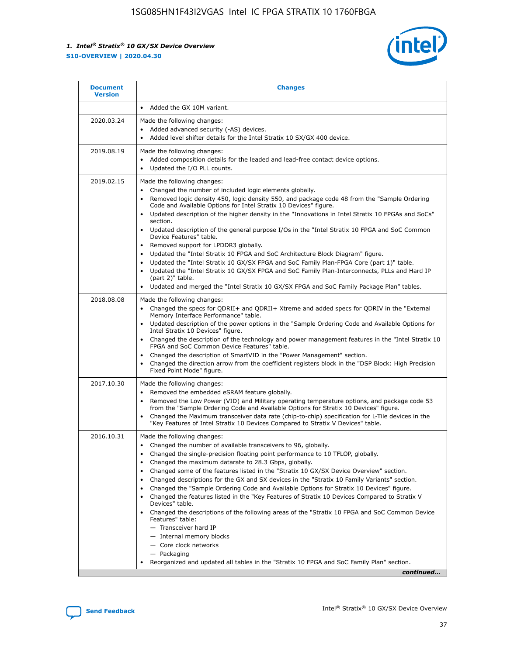

| <b>Document</b><br><b>Version</b> | <b>Changes</b>                                                                                                                                                                                                                                                                                                                                                                                                                                                                                                                                                                                                                                                                                                                                                                                                                                                                                                                                                                                      |
|-----------------------------------|-----------------------------------------------------------------------------------------------------------------------------------------------------------------------------------------------------------------------------------------------------------------------------------------------------------------------------------------------------------------------------------------------------------------------------------------------------------------------------------------------------------------------------------------------------------------------------------------------------------------------------------------------------------------------------------------------------------------------------------------------------------------------------------------------------------------------------------------------------------------------------------------------------------------------------------------------------------------------------------------------------|
|                                   | Added the GX 10M variant.                                                                                                                                                                                                                                                                                                                                                                                                                                                                                                                                                                                                                                                                                                                                                                                                                                                                                                                                                                           |
| 2020.03.24                        | Made the following changes:<br>Added advanced security (-AS) devices.<br>Added level shifter details for the Intel Stratix 10 SX/GX 400 device.                                                                                                                                                                                                                                                                                                                                                                                                                                                                                                                                                                                                                                                                                                                                                                                                                                                     |
| 2019.08.19                        | Made the following changes:<br>Added composition details for the leaded and lead-free contact device options.<br>$\bullet$<br>Updated the I/O PLL counts.                                                                                                                                                                                                                                                                                                                                                                                                                                                                                                                                                                                                                                                                                                                                                                                                                                           |
| 2019.02.15                        | Made the following changes:<br>Changed the number of included logic elements globally.<br>$\bullet$<br>Removed logic density 450, logic density 550, and package code 48 from the "Sample Ordering<br>$\bullet$<br>Code and Available Options for Intel Stratix 10 Devices" figure.<br>Updated description of the higher density in the "Innovations in Intel Stratix 10 FPGAs and SoCs"<br>section.<br>Updated description of the general purpose I/Os in the "Intel Stratix 10 FPGA and SoC Common<br>$\bullet$<br>Device Features" table.<br>Removed support for LPDDR3 globally.<br>Updated the "Intel Stratix 10 FPGA and SoC Architecture Block Diagram" figure.<br>$\bullet$<br>Updated the "Intel Stratix 10 GX/SX FPGA and SoC Family Plan-FPGA Core (part 1)" table.<br>٠<br>Updated the "Intel Stratix 10 GX/SX FPGA and SoC Family Plan-Interconnects, PLLs and Hard IP<br>(part 2)" table.<br>Updated and merged the "Intel Stratix 10 GX/SX FPGA and SoC Family Package Plan" tables. |
| 2018.08.08                        | Made the following changes:<br>Changed the specs for QDRII+ and QDRII+ Xtreme and added specs for QDRIV in the "External<br>$\bullet$<br>Memory Interface Performance" table.<br>Updated description of the power options in the "Sample Ordering Code and Available Options for<br>Intel Stratix 10 Devices" figure.<br>Changed the description of the technology and power management features in the "Intel Stratix 10<br>FPGA and SoC Common Device Features" table.<br>Changed the description of SmartVID in the "Power Management" section.<br>Changed the direction arrow from the coefficient registers block in the "DSP Block: High Precision<br>٠<br>Fixed Point Mode" figure.                                                                                                                                                                                                                                                                                                          |
| 2017.10.30                        | Made the following changes:<br>Removed the embedded eSRAM feature globally.<br>$\bullet$<br>Removed the Low Power (VID) and Military operating temperature options, and package code 53<br>٠<br>from the "Sample Ordering Code and Available Options for Stratix 10 Devices" figure.<br>Changed the Maximum transceiver data rate (chip-to-chip) specification for L-Tile devices in the<br>"Key Features of Intel Stratix 10 Devices Compared to Stratix V Devices" table.                                                                                                                                                                                                                                                                                                                                                                                                                                                                                                                         |
| 2016.10.31                        | Made the following changes:<br>• Changed the number of available transceivers to 96, globally.<br>Changed the single-precision floating point performance to 10 TFLOP, globally.<br>Changed the maximum datarate to 28.3 Gbps, globally.<br>٠<br>Changed some of the features listed in the "Stratix 10 GX/SX Device Overview" section.<br>٠<br>Changed descriptions for the GX and SX devices in the "Stratix 10 Family Variants" section.<br>٠<br>Changed the "Sample Ordering Code and Available Options for Stratix 10 Devices" figure.<br>Changed the features listed in the "Key Features of Stratix 10 Devices Compared to Stratix V<br>Devices" table.<br>Changed the descriptions of the following areas of the "Stratix 10 FPGA and SoC Common Device<br>Features" table:<br>- Transceiver hard IP<br>- Internal memory blocks<br>- Core clock networks<br>- Packaging<br>Reorganized and updated all tables in the "Stratix 10 FPGA and SoC Family Plan" section.                        |
|                                   | continued                                                                                                                                                                                                                                                                                                                                                                                                                                                                                                                                                                                                                                                                                                                                                                                                                                                                                                                                                                                           |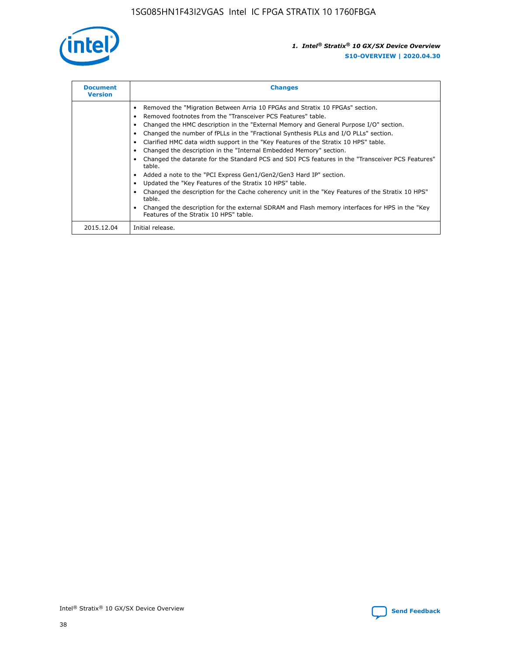

| <b>Document</b><br><b>Version</b> | <b>Changes</b>                                                                                                                                                                                                                                                                                                                                                                                                                                                                                                                                                                                                                                                                                                                                                                                                                                                                                                                                                                                      |
|-----------------------------------|-----------------------------------------------------------------------------------------------------------------------------------------------------------------------------------------------------------------------------------------------------------------------------------------------------------------------------------------------------------------------------------------------------------------------------------------------------------------------------------------------------------------------------------------------------------------------------------------------------------------------------------------------------------------------------------------------------------------------------------------------------------------------------------------------------------------------------------------------------------------------------------------------------------------------------------------------------------------------------------------------------|
|                                   | Removed the "Migration Between Arria 10 FPGAs and Stratix 10 FPGAs" section.<br>Removed footnotes from the "Transceiver PCS Features" table.<br>Changed the HMC description in the "External Memory and General Purpose I/O" section.<br>Changed the number of fPLLs in the "Fractional Synthesis PLLs and I/O PLLs" section.<br>Clarified HMC data width support in the "Key Features of the Stratix 10 HPS" table.<br>Changed the description in the "Internal Embedded Memory" section.<br>Changed the datarate for the Standard PCS and SDI PCS features in the "Transceiver PCS Features"<br>table.<br>Added a note to the "PCI Express Gen1/Gen2/Gen3 Hard IP" section.<br>Updated the "Key Features of the Stratix 10 HPS" table.<br>Changed the description for the Cache coherency unit in the "Key Features of the Stratix 10 HPS"<br>table.<br>Changed the description for the external SDRAM and Flash memory interfaces for HPS in the "Key"<br>Features of the Stratix 10 HPS" table. |
| 2015.12.04                        | Initial release.                                                                                                                                                                                                                                                                                                                                                                                                                                                                                                                                                                                                                                                                                                                                                                                                                                                                                                                                                                                    |